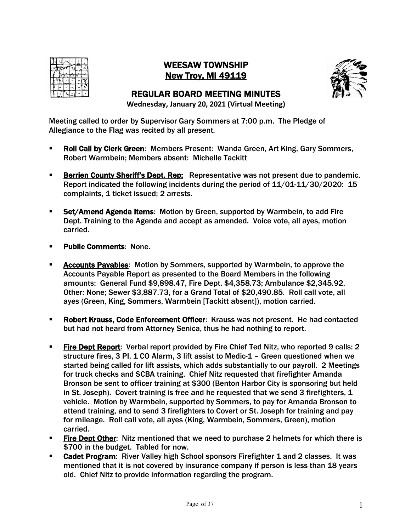

# WEESAW TOWNSHIP New Troy, MI 49119



# REGULAR BOARD MEETING MINUTES

**Wednesday, January 20, 2021 (Virtual Meeting)**

Meeting called to order by Supervisor Gary Sommers at 7:00 p.m. The Pledge of Allegiance to the Flag was recited by all present.

- § Roll Call by Clerk Green: Members Present: Wanda Green, Art King, Gary Sommers, Robert Warmbein; Members absent: Michelle Tackitt
- **Berrien County Sheriff's Dept. Rep:** Representative was not present due to pandemic. Report indicated the following incidents during the period of 11/01-11/30/2020: 15 complaints, 1 ticket issued; 2 arrests.
- **Set/Amend Agenda Items:** Motion by Green, supported by Warmbein, to add Fire Dept. Training to the Agenda and accept as amended. Voice vote, all ayes, motion carried.
- **Public Comments: None.**
- § Accounts Payables: Motion by Sommers, supported by Warmbein, to approve the Accounts Payable Report as presented to the Board Members in the following amounts: General Fund \$9,898.47, Fire Dept. \$4,358.73; Ambulance \$2,345.92, Other: None; Sewer \$3,887.73, for a Grand Total of \$20,490.85. Roll call vote, all ayes (Green, King, Sommers, Warmbein [Tackitt absent]), motion carried.
- § Robert Krauss, Code Enforcement Officer: Krauss was not present. He had contacted but had not heard from Attorney Senica, thus he had nothing to report.
- **Fire Dept Report: Verbal report provided by Fire Chief Ted Nitz, who reported 9 calls: 2** structure fires, 3 PI, 1 CO Alarm, 3 lift assist to Medic-1 – Green questioned when we started being called for lift assists, which adds substantially to our payroll. 2 Meetings for truck checks and SCBA training. Chief Nitz requested that firefighter Amanda Bronson be sent to officer training at \$300 (Benton Harbor City is sponsoring but held in St. Joseph). Covert training is free and he requested that we send 3 firefighters,  $1$ vehicle. Motion by Warmbein, supported by Sommers, to pay for Amanda Bronson to attend training, and to send 3 firefighters to Covert or St. Joseph for training and pay for mileage. Roll call vote, all ayes (King, Warmbein, Sommers, Green), motion carried.
- **Fire Dept Other:** Nitz mentioned that we need to purchase 2 helmets for which there is \$700 in the budget. Tabled for now.
- **Cadet Program:** River Valley high School sponsors Firefighter 1 and 2 classes. It was mentioned that it is not covered by insurance company if person is less than 18 years old. Chief Nitz to provide information regarding the program.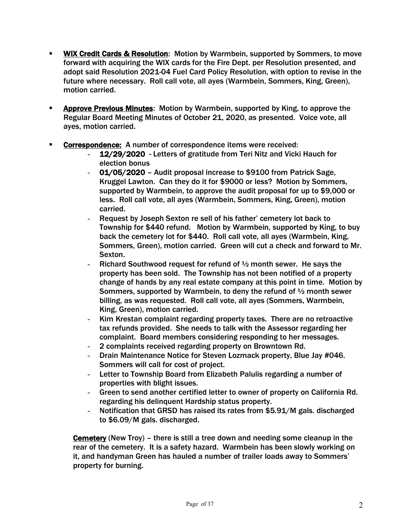- WIX Credit Cards & Resolution: Motion by Warmbein, supported by Sommers, to move forward with acquiring the WIX cards for the Fire Dept. per Resolution presented, and adopt said Resolution 2021-04 Fuel Card Policy Resolution, with option to revise in the future where necessary. Roll call vote, all ayes (Warmbein, Sommers, King, Green), motion carried.
- § Approve Previous Minutes: Motion by Warmbein, supported by King, to approve the Regular Board Meeting Minutes of October 21, 2020, as presented. Voice vote, all ayes, motion carried.
- § Correspondence: A number of correspondence items were received:
	- 12/29/2020 Letters of gratitude from Teri Nitz and Vicki Hauch for election bonus
	- 01/05/2020 Audit proposal increase to \$9100 from Patrick Sage, Kruggel Lawton. Can they do it for \$9000 or less? Motion by Sommers, supported by Warmbein, to approve the audit proposal for up to \$9,000 or less. Roll call vote, all ayes (Warmbein, Sommers, King, Green), motion carried.
	- Request by Joseph Sexton re sell of his father' cemetery lot back to Township for \$440 refund. Motion by Warmbein, supported by King, to buy back the cemetery lot for \$440. Roll call vote, all ayes (Warmbein, King, Sommers, Green), motion carried. Green will cut a check and forward to Mr. Sexton.
	- Richard Southwood request for refund of  $\frac{1}{2}$  month sewer. He says the property has been sold. The Township has not been notified of a property change of hands by any real estate company at this point in time. Motion by Sommers, supported by Warmbein, to deny the refund of ½ month sewer billing, as was requested. Roll call vote, all ayes (Sommers, Warmbein, King, Green), motion carried.
	- Kim Krestan complaint regarding property taxes. There are no retroactive tax refunds provided. She needs to talk with the Assessor regarding her complaint. Board members considering responding to her messages.
	- 2 complaints received regarding property on Browntown Rd.
	- Drain Maintenance Notice for Steven Lozmack property, Blue Jay #046. Sommers will call for cost of project.
	- Letter to Township Board from Elizabeth Palulis regarding a number of properties with blight issues.
	- Green to send another certified letter to owner of property on California Rd. regarding his delinquent Hardship status property.
	- Notification that GRSD has raised its rates from \$5.91/M gals. discharged to \$6.09/M gals. discharged.

Cemetery (New Troy) – there is still a tree down and needing some cleanup in the rear of the cemetery. It is a safety hazard. Warmbein has been slowly working on it, and handyman Green has hauled a number of trailer loads away to Sommers' property for burning.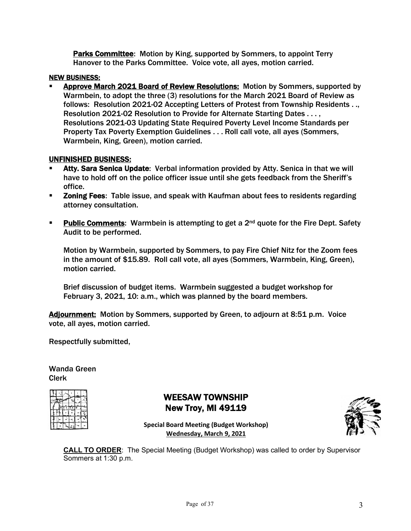Parks Committee: Motion by King, supported by Sommers, to appoint Terry Hanover to the Parks Committee. Voice vote, all ayes, motion carried.

### NEW BUSINESS:

§ Approve March 2021 Board of Review Resolutions: Motion by Sommers, supported by Warmbein, to adopt the three (3) resolutions for the March 2021 Board of Review as follows: Resolution 2021-02 Accepting Letters of Protest from Township Residents . ., Resolution 2021-02 Resolution to Provide for Alternate Starting Dates . . . , Resolutions 2021-03 Updating State Required Poverty Level Income Standards per Property Tax Poverty Exemption Guidelines . . . Roll call vote, all ayes (Sommers, Warmbein, King, Green), motion carried.

### UNFINISHED BUSINESS:

- Atty. Sara Senica Update: Verbal information provided by Atty. Senica in that we will have to hold off on the police officer issue until she gets feedback from the Sheriff's office.
- **EXEDMING THE 2018 ISS 2018 Table issue, and speak with Kaufman about fees to residents regarding** attorney consultation.
- **Public Comments:** Warmbein is attempting to get a 2<sup>nd</sup> quote for the Fire Dept. Safety Audit to be performed.

Motion by Warmbein, supported by Sommers, to pay Fire Chief Nitz for the Zoom fees in the amount of \$15.89. Roll call vote, all ayes (Sommers, Warmbein, King, Green), motion carried.

Brief discussion of budget items. Warmbein suggested a budget workshop for February 3, 2021, 10: a.m., which was planned by the board members.

Adjournment: Motion by Sommers, supported by Green, to adjourn at 8:51 p.m. Voice vote, all ayes, motion carried.

Respectfully submitted,

Wanda Green Clerk

|  |        | m.<br>Ĥ. |   |
|--|--------|----------|---|
|  | ē<br>ė |          |   |
|  |        |          | 븮 |
|  |        |          |   |
|  |        |          |   |

# WEESAW TOWNSHIP New Troy, MI 49119



**Special Board Meeting (Budget Workshop) Wednesday, March 9, 2021**

**CALL TO ORDER**: The Special Meeting (Budget Workshop) was called to order by Supervisor Sommers at 1:30 p.m.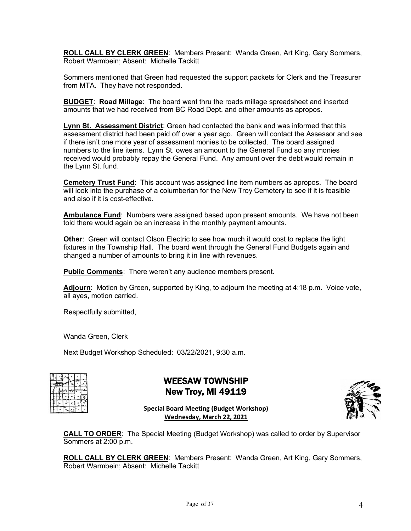**ROLL CALL BY CLERK GREEN**: Members Present: Wanda Green, Art King, Gary Sommers, Robert Warmbein; Absent: Michelle Tackitt

Sommers mentioned that Green had requested the support packets for Clerk and the Treasurer from MTA. They have not responded.

**BUDGET**: **Road Millage**: The board went thru the roads millage spreadsheet and inserted amounts that we had received from BC Road Dept. and other amounts as apropos.

**Lynn St. Assessment District**: Green had contacted the bank and was informed that this assessment district had been paid off over a year ago. Green will contact the Assessor and see if there isn't one more year of assessment monies to be collected. The board assigned numbers to the line items. Lynn St. owes an amount to the General Fund so any monies received would probably repay the General Fund. Any amount over the debt would remain in the Lynn St. fund.

**Cemetery Trust Fund**: This account was assigned line item numbers as apropos. The board will look into the purchase of a columberian for the New Troy Cemetery to see if it is feasible and also if it is cost-effective.

**Ambulance Fund**: Numbers were assigned based upon present amounts. We have not been told there would again be an increase in the monthly payment amounts.

**Other**: Green will contact Olson Electric to see how much it would cost to replace the light fixtures in the Township Hall. The board went through the General Fund Budgets again and changed a number of amounts to bring it in line with revenues.

**Public Comments**: There weren't any audience members present.

**Adjourn**: Motion by Green, supported by King, to adjourn the meeting at 4:18 p.m. Voice vote, all ayes, motion carried.

Respectfully submitted,

Wanda Green, Clerk

Next Budget Workshop Scheduled: 03/22/2021, 9:30 a.m.

|  |  | 告 |
|--|--|---|
|  |  |   |
|  |  |   |

# WEESAW TOWNSHIP New Troy, MI 49119



**Special Board Meeting (Budget Workshop) Wednesday, March 22, 2021**

**CALL TO ORDER**: The Special Meeting (Budget Workshop) was called to order by Supervisor Sommers at 2:00 p.m.

**ROLL CALL BY CLERK GREEN**: Members Present: Wanda Green, Art King, Gary Sommers, Robert Warmbein; Absent: Michelle Tackitt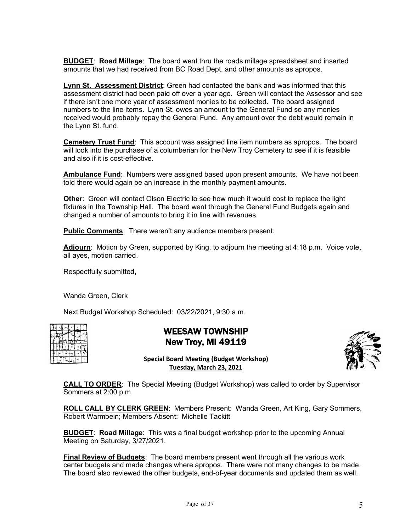**BUDGET**: **Road Millage**: The board went thru the roads millage spreadsheet and inserted amounts that we had received from BC Road Dept. and other amounts as apropos.

**Lynn St. Assessment District**: Green had contacted the bank and was informed that this assessment district had been paid off over a year ago. Green will contact the Assessor and see if there isn't one more year of assessment monies to be collected. The board assigned numbers to the line items. Lynn St. owes an amount to the General Fund so any monies received would probably repay the General Fund. Any amount over the debt would remain in the Lynn St. fund.

**Cemetery Trust Fund**: This account was assigned line item numbers as apropos. The board will look into the purchase of a columberian for the New Troy Cemetery to see if it is feasible and also if it is cost-effective.

**Ambulance Fund**: Numbers were assigned based upon present amounts. We have not been told there would again be an increase in the monthly payment amounts.

**Other**: Green will contact Olson Electric to see how much it would cost to replace the light fixtures in the Township Hall. The board went through the General Fund Budgets again and changed a number of amounts to bring it in line with revenues.

**Public Comments**: There weren't any audience members present.

**Adjourn**: Motion by Green, supported by King, to adjourn the meeting at 4:18 p.m. Voice vote, all ayes, motion carried.

Respectfully submitted,

Wanda Green, Clerk

Next Budget Workshop Scheduled: 03/22/2021, 9:30 a.m.

|  |  | ÷ |
|--|--|---|
|  |  |   |
|  |  |   |

WEESAW TOWNSHIP New Troy, MI 49119



**Special Board Meeting (Budget Workshop) Tuesday, March 23, 2021**

**CALL TO ORDER**: The Special Meeting (Budget Workshop) was called to order by Supervisor Sommers at 2:00 p.m.

**ROLL CALL BY CLERK GREEN**: Members Present: Wanda Green, Art King, Gary Sommers, Robert Warmbein; Members Absent: Michelle Tackitt

**BUDGET**: **Road Millage**: This was a final budget workshop prior to the upcoming Annual Meeting on Saturday, 3/27/2021.

**Final Review of Budgets**: The board members present went through all the various work center budgets and made changes where apropos. There were not many changes to be made. The board also reviewed the other budgets, end-of-year documents and updated them as well.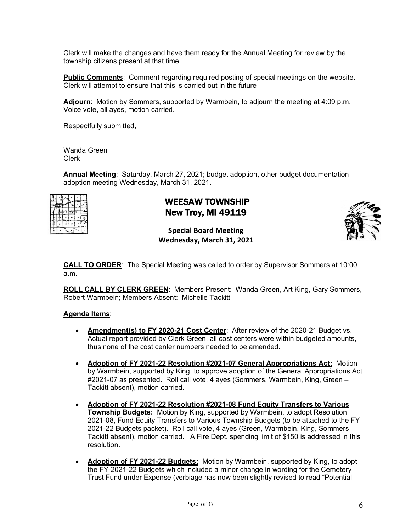Clerk will make the changes and have them ready for the Annual Meeting for review by the township citizens present at that time.

**Public Comments**: Comment regarding required posting of special meetings on the website. Clerk will attempt to ensure that this is carried out in the future

**Adjourn**: Motion by Sommers, supported by Warmbein, to adjourn the meeting at 4:09 p.m. Voice vote, all ayes, motion carried.

Respectfully submitted,

Wanda Green Clerk

**Annual Meeting**: Saturday, March 27, 2021; budget adoption, other budget documentation adoption meeting Wednesday, March 31. 2021.



# WEESAW TOWNSHIP New Troy, MI 49119



### **Special Board Meeting Wednesday, March 31, 2021**

**CALL TO ORDER**: The Special Meeting was called to order by Supervisor Sommers at 10:00 a.m.

**ROLL CALL BY CLERK GREEN**: Members Present: Wanda Green, Art King, Gary Sommers, Robert Warmbein; Members Absent: Michelle Tackitt

#### **Agenda Items**:

- **Amendment(s) to FY 2020-21 Cost Center**: After review of the 2020-21 Budget vs. Actual report provided by Clerk Green, all cost centers were within budgeted amounts, thus none of the cost center numbers needed to be amended.
- **Adoption of FY 2021-22 Resolution #2021-07 General Appropriations Act:** Motion by Warmbein, supported by King, to approve adoption of the General Appropriations Act #2021-07 as presented. Roll call vote, 4 ayes (Sommers, Warmbein, King, Green – Tackitt absent), motion carried.
- **Adoption of FY 2021-22 Resolution #2021-08 Fund Equity Transfers to Various Township Budgets:** Motion by King, supported by Warmbein, to adopt Resolution 2021-08, Fund Equity Transfers to Various Township Budgets (to be attached to the FY 2021-22 Budgets packet). Roll call vote, 4 ayes (Green, Warmbein, King, Sommers – Tackitt absent), motion carried. A Fire Dept. spending limit of \$150 is addressed in this resolution.
- **Adoption of FY 2021-22 Budgets:** Motion by Warmbein, supported by King, to adopt the FY-2021-22 Budgets which included a minor change in wording for the Cemetery Trust Fund under Expense (verbiage has now been slightly revised to read "Potential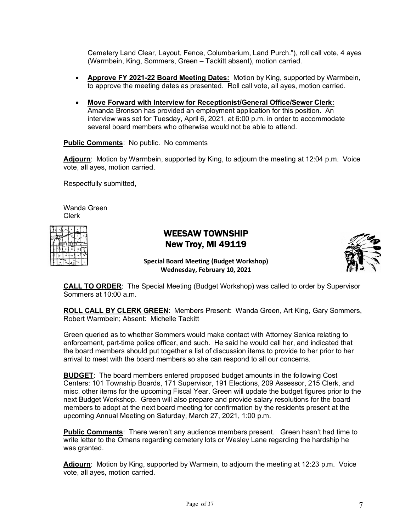Cemetery Land Clear, Layout, Fence, Columbarium, Land Purch."), roll call vote, 4 ayes (Warmbein, King, Sommers, Green – Tackitt absent), motion carried.

- **Approve FY 2021-22 Board Meeting Dates:** Motion by King, supported by Warmbein, to approve the meeting dates as presented. Roll call vote, all ayes, motion carried.
- **Move Forward with Interview for Receptionist/General Office/Sewer Clerk:** Amanda Bronson has provided an employment application for this position. An interview was set for Tuesday, April 6, 2021, at 6:00 p.m. in order to accommodate several board members who otherwise would not be able to attend.

**Public Comments**: No public. No comments

Adjourn: Motion by Warmbein, supported by King, to adjourn the meeting at 12:04 p.m. Voice vote, all ayes, motion carried.

Respectfully submitted,

Wanda Green Clerk

|  |  | ×, |   |
|--|--|----|---|
|  |  |    |   |
|  |  |    | ő |
|  |  |    |   |
|  |  |    |   |

# WEESAW TOWNSHIP New Troy, MI 49119



**Special Board Meeting (Budget Workshop) Wednesday, February 10, 2021**

**CALL TO ORDER**: The Special Meeting (Budget Workshop) was called to order by Supervisor Sommers at  $10:00$  a.m.

**ROLL CALL BY CLERK GREEN**: Members Present: Wanda Green, Art King, Gary Sommers, Robert Warmbein; Absent: Michelle Tackitt

Green queried as to whether Sommers would make contact with Attorney Senica relating to enforcement, part-time police officer, and such. He said he would call her, and indicated that the board members should put together a list of discussion items to provide to her prior to her arrival to meet with the board members so she can respond to all our concerns.

**BUDGET**: The board members entered proposed budget amounts in the following Cost Centers: 101 Township Boards, 171 Supervisor, 191 Elections, 209 Assessor, 215 Clerk, and misc. other items for the upcoming Fiscal Year. Green will update the budget figures prior to the next Budget Workshop. Green will also prepare and provide salary resolutions for the board members to adopt at the next board meeting for confirmation by the residents present at the upcoming Annual Meeting on Saturday, March 27, 2021, 1:00 p.m.

**Public Comments**: There weren't any audience members present. Green hasn't had time to write letter to the Omans regarding cemetery lots or Wesley Lane regarding the hardship he was granted.

**Adjourn**: Motion by King, supported by Warmein, to adjourn the meeting at 12:23 p.m. Voice vote, all ayes, motion carried.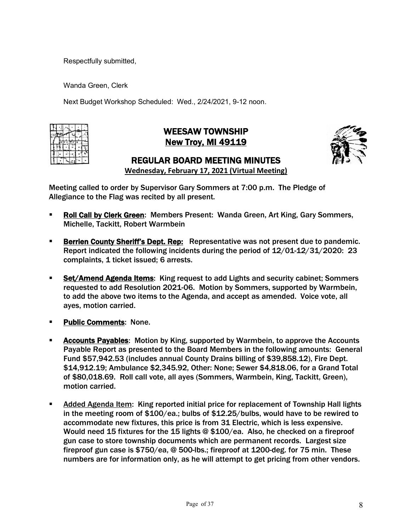Respectfully submitted,

Wanda Green, Clerk

Next Budget Workshop Scheduled: Wed., 2/24/2021, 9-12 noon.

|  | F | т |    |
|--|---|---|----|
|  |   |   | £, |
|  |   |   |    |
|  |   |   |    |

# WEESAW TOWNSHIP New Troy, MI 49119



# REGULAR BOARD MEETING MINUTES

**Wednesday, February 17, 2021 (Virtual Meeting)**

Meeting called to order by Supervisor Gary Sommers at 7:00 p.m. The Pledge of Allegiance to the Flag was recited by all present.

- § Roll Call by Clerk Green: Members Present: Wanda Green, Art King, Gary Sommers, Michelle, Tackitt, Robert Warmbein
- **Berrien County Sheriff's Dept. Rep:** Representative was not present due to pandemic. Report indicated the following incidents during the period of 12/01-12/31/2020: 23 complaints, 1 ticket issued; 6 arrests.
- Set/Amend Agenda Items: King request to add Lights and security cabinet; Sommers requested to add Resolution 2021-06. Motion by Sommers, supported by Warmbein, to add the above two items to the Agenda, and accept as amended. Voice vote, all ayes, motion carried.
- § Public Comments: None.
- § Accounts Payables: Motion by King, supported by Warmbein, to approve the Accounts Payable Report as presented to the Board Members in the following amounts: General Fund \$57,942.53 (includes annual County Drains billing of \$39,858.12), Fire Dept. \$14,912.19; Ambulance \$2,345.92, Other: None; Sewer \$4,818.06, for a Grand Total of \$80,018.69. Roll call vote, all ayes (Sommers, Warmbein, King, Tackitt, Green), motion carried.
- § Added Agenda Item: King reported initial price for replacement of Township Hall lights in the meeting room of \$100/ea.; bulbs of \$12.25/bulbs, would have to be rewired to accommodate new fixtures, this price is from 31 Electric, which is less expensive. Would need 15 fixtures for the 15 lights @ \$100/ea. Also, he checked on a fireproof gun case to store township documents which are permanent records. Largest size fireproof gun case is \$750/ea, @ 500-lbs.; fireproof at 1200-deg. for 75 min. These numbers are for information only, as he will attempt to get pricing from other vendors.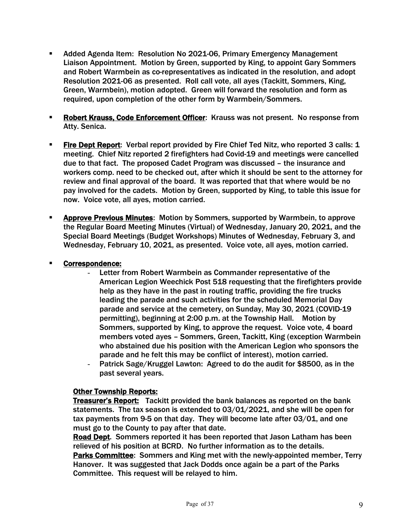- § Added Agenda Item: Resolution No 2021-06, Primary Emergency Management Liaison Appointment. Motion by Green, supported by King, to appoint Gary Sommers and Robert Warmbein as co-representatives as indicated in the resolution, and adopt Resolution 2021-06 as presented. Roll call vote, all ayes (Tackitt, Sommers, King, Green, Warmbein), motion adopted. Green will forward the resolution and form as required, upon completion of the other form by Warmbein/Sommers.
- **EXPORER KRAUSS, Code Enforcement Officer:** Krauss was not present. No response from Atty. Senica.
- **Fire Dept Report:** Verbal report provided by Fire Chief Ted Nitz, who reported 3 calls: 1 meeting. Chief Nitz reported 2 firefighters had Covid-19 and meetings were cancelled due to that fact. The proposed Cadet Program was discussed – the insurance and workers comp. need to be checked out, after which it should be sent to the attorney for review and final approval of the board. It was reported that that where would be no pay involved for the cadets. Motion by Green, supported by King, to table this issue for now. Voice vote, all ayes, motion carried.
- **Approve Previous Minutes:** Motion by Sommers, supported by Warmbein, to approve the Regular Board Meeting Minutes (Virtual) of Wednesday, January 20, 2021, and the Special Board Meetings (Budget Workshops) Minutes of Wednesday, February 3, and Wednesday, February 10, 2021, as presented. Voice vote, all ayes, motion carried.

### § Correspondence:

- Letter from Robert Warmbein as Commander representative of the American Legion Weechick Post 518 requesting that the firefighters provide help as they have in the past in routing traffic, providing the fire trucks leading the parade and such activities for the scheduled Memorial Day parade and service at the cemetery, on Sunday, May 30, 2021 (COVID-19 permitting), beginning at 2:00 p.m. at the Township Hall. Motion by Sommers, supported by King, to approve the request. Voice vote, 4 board members voted ayes – Sommers, Green, Tackitt, King (exception Warmbein who abstained due his position with the American Legion who sponsors the parade and he felt this may be conflict of interest), motion carried.
- Patrick Sage/Kruggel Lawton: Agreed to do the audit for \$8500, as in the past several years.

### Other Township Reports:

Treasurer's Report: Tackitt provided the bank balances as reported on the bank statements. The tax season is extended to 03/01/2021, and she will be open for tax payments from 9-5 on that day. They will become late after 03/01, and one must go to the County to pay after that date.

Road Dept. Sommers reported it has been reported that Jason Latham has been relieved of his position at BCRD. No further information as to the details.

Parks Committee: Sommers and King met with the newly-appointed member, Terry Hanover. It was suggested that Jack Dodds once again be a part of the Parks Committee. This request will be relayed to him.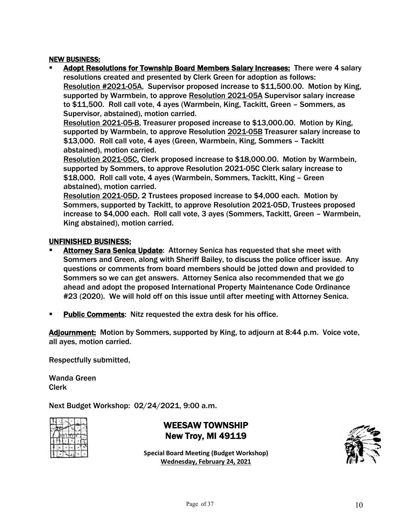#### NEW BUSINESS:

§ Adopt Resolutions for Township Board Members Salary Increases: There were 4 salary resolutions created and presented by Clerk Green for adoption as follows: Resolution #2021-05A, Supervisor proposed increase to \$11,500.00. Motion by King, supported by Warmbein, to approve Resolution 2021-05A Supervisor salary increase to \$11,500. Roll call vote, 4 ayes (Warmbein, King, Tackitt, Green – Sommers, as Supervisor, abstained), motion carried.

Resolution 2021-05-B, Treasurer proposed increase to \$13,000.00. Motion by King, supported by Warmbein, to approve Resolution 2021-05B Treasurer salary increase to \$13,000. Roll call vote, 4 ayes (Green, Warmbein, King, Sommers – Tackitt abstained), motion carried.

Resolution 2021-05C, Clerk proposed increase to \$18,000.00. Motion by Warmbein, supported by Sommers, to approve Resolution 2021-05C Clerk salary increase to \$18,000. Roll call vote, 4 ayes (Warmbein, Sommers, Tackitt, King – Green abstained), motion carried.

Resolution 2021-05D, 2 Trustees proposed increase to \$4,000 each. Motion by Sommers, supported by Tackitt, to approve Resolution 2021-05D, Trustees proposed increase to \$4,000 each. Roll call vote, 3 ayes (Sommers, Tackitt, Green – Warmbein, King abstained), motion carried.

#### UNFINISHED BUSINESS:

- Attorney Sara Senica Update: Attorney Senica has requested that she meet with Sommers and Green, along with Sheriff Bailey, to discuss the police officer issue. Any questions or comments from board members should be jotted down and provided to Sommers so we can get answers. Attorney Senica also recommended that we go ahead and adopt the proposed International Property Maintenance Code Ordinance #23 (2020). We will hold off on this issue until after meeting with Attorney Senica.
- Public Comments: Nitz requested the extra desk for his office.

Adjournment: Motion by Sommers, supported by King, to adjourn at 8:44 p.m. Voice vote, all ayes, motion carried.

Respectfully submitted,

Wanda Green Clerk

Next Budget Workshop: 02/24/2021, 9:00 a.m.

|  |  | ×, |   |
|--|--|----|---|
|  |  |    |   |
|  |  |    | ۰ |
|  |  |    |   |
|  |  |    |   |

WEESAW TOWNSHIP New Troy, MI 49119

**Special Board Meeting (Budget Workshop) Wednesday, February 24, 2021**

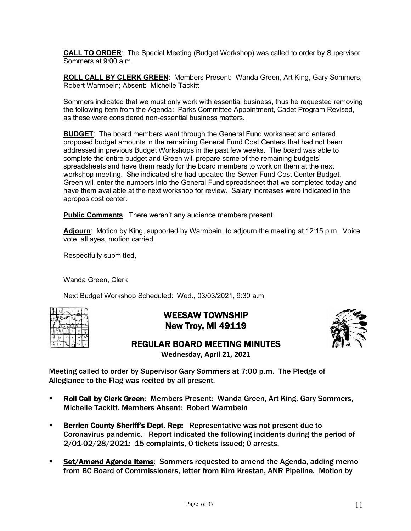**CALL TO ORDER**: The Special Meeting (Budget Workshop) was called to order by Supervisor Sommers at 9:00 a.m.

**ROLL CALL BY CLERK GREEN**: Members Present: Wanda Green, Art King, Gary Sommers, Robert Warmbein; Absent: Michelle Tackitt

Sommers indicated that we must only work with essential business, thus he requested removing the following item from the Agenda: Parks Committee Appointment, Cadet Program Revised, as these were considered non-essential business matters.

**BUDGET**: The board members went through the General Fund worksheet and entered proposed budget amounts in the remaining General Fund Cost Centers that had not been addressed in previous Budget Workshops in the past few weeks. The board was able to complete the entire budget and Green will prepare some of the remaining budgets' spreadsheets and have them ready for the board members to work on them at the next workshop meeting. She indicated she had updated the Sewer Fund Cost Center Budget. Green will enter the numbers into the General Fund spreadsheet that we completed today and have them available at the next workshop for review. Salary increases were indicated in the apropos cost center.

**Public Comments**: There weren't any audience members present.

**Adjourn**: Motion by King, supported by Warmbein, to adjourn the meeting at 12:15 p.m. Voice vote, all ayes, motion carried.

Respectfully submitted,

Wanda Green, Clerk

Next Budget Workshop Scheduled: Wed., 03/03/2021, 9:30 a.m.

# WEESAW TOWNSHIP New Troy, MI 49119



# REGULAR BOARD MEETING MINUTES **Wednesday, April 21, 2021**

Meeting called to order by Supervisor Gary Sommers at 7:00 p.m. The Pledge of Allegiance to the Flag was recited by all present.

- § Roll Call by Clerk Green: Members Present: Wanda Green, Art King, Gary Sommers, Michelle Tackitt. Members Absent: Robert Warmbein
- **EXERGIER ENDIRY SHEARES IN A BEARE PERTLE PROPERTLY BEARENT FIGURE 10 FEARE FIGURE 10 FEARE PROPERTLY BEARENTLY** Coronavirus pandemic. Report indicated the following incidents during the period of 2/01-02/28/2021: 15 complaints, 0 tickets issued; 0 arrests.
- **Set/Amend Agenda Items:** Sommers requested to amend the Agenda, adding memo from BC Board of Commissioners, letter from Kim Krestan, ANR Pipeline. Motion by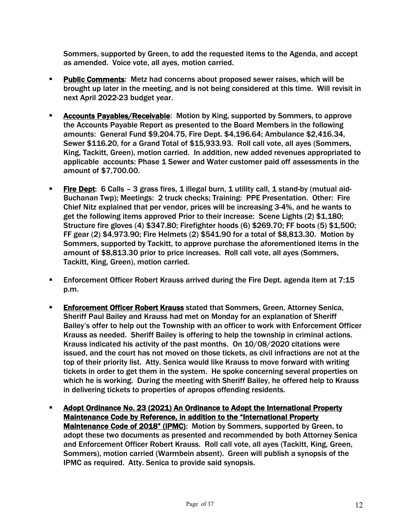Sommers, supported by Green, to add the requested items to the Agenda, and accept as amended. Voice vote, all ayes, motion carried.

- § Public Comments: Metz had concerns about proposed sewer raises, which will be brought up later in the meeting, and is not being considered at this time. Will revisit in next April 2022-23 budget year.
- § Accounts Payables/Receivable: Motion by King, supported by Sommers, to approve the Accounts Payable Report as presented to the Board Members in the following amounts: General Fund \$9,204.75, Fire Dept. \$4,196.64; Ambulance \$2,416.34, Sewer \$116.20, for a Grand Total of \$15,933.93. Roll call vote, all ayes (Sommers, King, Tackitt, Green), motion carried. In addition, new added revenues appropriated to applicable accounts: Phase 1 Sewer and Water customer paid off assessments in the amount of \$7,700.00.
- Fire Dept: 6 Calls 3 grass fires, 1 illegal burn, 1 utility call, 1 stand-by (mutual aid-Buchanan Twp); Meetings: 2 truck checks; Training: PPE Presentation. Other: Fire Chief Nitz explained that per vendor, prices will be increasing 3-4%, and he wants to get the following items approved Prior to their increase: Scene Lights (2) \$1,180; Structure fire gloves (4) \$347.80; Firefighter hoods (6) \$269.70; FF boots (5) \$1,500; FF gear (2) \$4,973.90; Fire Helmets (2) \$541.90 for a total of \$8,813.30. Motion by Sommers, supported by Tackitt, to approve purchase the aforementioned items in the amount of \$8,813.30 prior to price increases. Roll call vote, all ayes (Sommers, Tackitt, King, Green), motion carried.
- **Enforcement Officer Robert Krauss arrived during the Fire Dept. agenda item at 7:15** p.m.
- **Enforcement Officer Robert Krauss stated that Sommers, Green, Attorney Senica,** Sheriff Paul Bailey and Krauss had met on Monday for an explanation of Sheriff Bailey's offer to help out the Township with an officer to work with Enforcement Officer Krauss as needed. Sheriff Bailey is offering to help the township in criminal actions. Krauss indicated his activity of the past months. On 10/08/2020 citations were issued, and the court has not moved on those tickets, as civil infractions are not at the top of their priority list. Atty. Senica would like Krauss to move forward with writing tickets in order to get them in the system. He spoke concerning several properties on which he is working. During the meeting with Sheriff Bailey, he offered help to Krauss in delivering tickets to properties of apropos offending residents.
- **EXECT Adopt Ordinance No. 23 (2021) An Ordinance to Adopt the International Property** Maintenance Code by Reference, in addition to the "International Property Maintenance Code of 2018" (IPMC): Motion by Sommers, supported by Green, to adopt these two documents as presented and recommended by both Attorney Senica and Enforcement Officer Robert Krauss. Roll call vote, all ayes (Tackitt, King, Green, Sommers), motion carried (Warmbein absent). Green will publish a synopsis of the IPMC as required. Atty. Senica to provide said synopsis.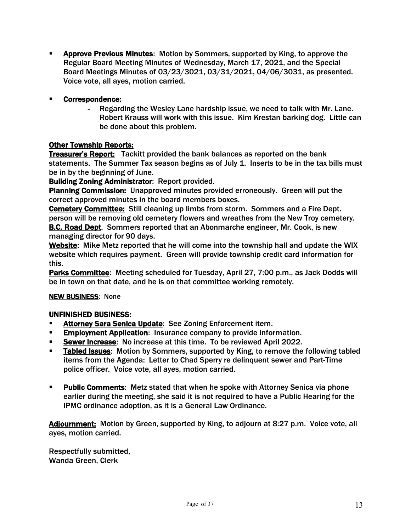§ Approve Previous Minutes: Motion by Sommers, supported by King, to approve the Regular Board Meeting Minutes of Wednesday, March 17, 2021, and the Special Board Meetings Minutes of 03/23/3021, 03/31/2021, 04/06/3031, as presented. Voice vote, all ayes, motion carried.

# Correspondence:

Regarding the Wesley Lane hardship issue, we need to talk with Mr. Lane. Robert Krauss will work with this issue. Kim Krestan barking dog. Little can be done about this problem.

# Other Township Reports:

**Treasurer's Report:** Tackitt provided the bank balances as reported on the bank statements. The Summer Tax season begins as of July 1. Inserts to be in the tax bills must be in by the beginning of June.

Building Zoning Administrator: Report provided.

Planning Commission: Unapproved minutes provided erroneously. Green will put the correct approved minutes in the board members boxes.

Cemetery Committee: Still cleaning up limbs from storm. Sommers and a Fire Dept. person will be removing old cemetery flowers and wreathes from the New Troy cemetery. B.C. Road Dept. Sommers reported that an Abonmarche engineer, Mr. Cook, is new managing director for 90 days.

Website: Mike Metz reported that he will come into the township hall and update the WIX website which requires payment. Green will provide township credit card information for this.

Parks Committee: Meeting scheduled for Tuesday, April 27, 7:00 p.m., as Jack Dodds will be in town on that date, and he is on that committee working remotely.

# NEW BUSINESS: None

# UNFINISHED BUSINESS:

- **EXECT:** Attorney Sara Senica Update: See Zoning Enforcement item.
- **Employment Application: Insurance company to provide information.**
- § Sewer Increase: No increase at this time. To be reviewed April 2022.
- Tabled Issues: Motion by Sommers, supported by King, to remove the following tabled items from the Agenda: Letter to Chad Sperry re delinquent sewer and Part-Time police officer. Voice vote, all ayes, motion carried.
- **Public Comments:** Metz stated that when he spoke with Attorney Senica via phone earlier during the meeting, she said it is not required to have a Public Hearing for the IPMC ordinance adoption, as it is a General Law Ordinance.

Adjournment: Motion by Green, supported by King, to adjourn at 8:27 p.m. Voice vote, all ayes, motion carried.

Respectfully submitted, Wanda Green, Clerk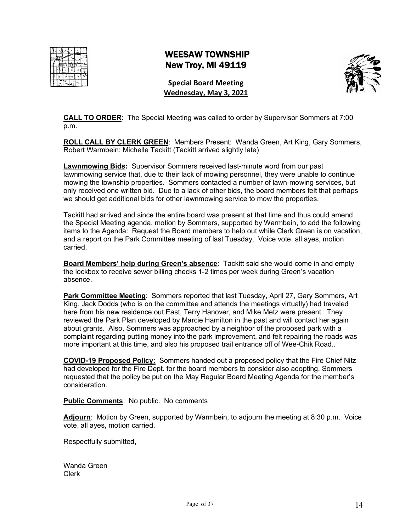# WEESAW TOWNSHIP New Troy, MI 49119



**Special Board Meeting Wednesday, May 3, 2021**

**CALL TO ORDER**: The Special Meeting was called to order by Supervisor Sommers at 7:00 p.m.

**ROLL CALL BY CLERK GREEN**: Members Present: Wanda Green, Art King, Gary Sommers, Robert Warmbein; Michelle Tackitt (Tackitt arrived slightly late)

**Lawnmowing Bids:** Supervisor Sommers received last-minute word from our past lawnmowing service that, due to their lack of mowing personnel, they were unable to continue mowing the township properties. Sommers contacted a number of lawn-mowing services, but only received one written bid. Due to a lack of other bids, the board members felt that perhaps we should get additional bids for other lawnmowing service to mow the properties.

Tackitt had arrived and since the entire board was present at that time and thus could amend the Special Meeting agenda, motion by Sommers, supported by Warmbein, to add the following items to the Agenda: Request the Board members to help out while Clerk Green is on vacation, and a report on the Park Committee meeting of last Tuesday. Voice vote, all ayes, motion carried.

**Board Members' help during Green's absence**: Tackitt said she would come in and empty the lockbox to receive sewer billing checks 1-2 times per week during Green's vacation absence.

**Park Committee Meeting**: Sommers reported that last Tuesday, April 27, Gary Sommers, Art King, Jack Dodds (who is on the committee and attends the meetings virtually) had traveled here from his new residence out East, Terry Hanover, and Mike Metz were present. They reviewed the Park Plan developed by Marcie Hamilton in the past and will contact her again about grants. Also, Sommers was approached by a neighbor of the proposed park with a complaint regarding putting money into the park improvement, and felt repairing the roads was more important at this time, and also his proposed trail entrance off of Wee-Chik Road..

**COVID-19 Proposed Policy:** Sommers handed out a proposed policy that the Fire Chief Nitz had developed for the Fire Dept. for the board members to consider also adopting. Sommers requested that the policy be put on the May Regular Board Meeting Agenda for the member's consideration.

**Public Comments**: No public. No comments

**Adjourn**: Motion by Green, supported by Warmbein, to adjourn the meeting at 8:30 p.m. Voice vote, all ayes, motion carried.

Respectfully submitted,

Wanda Green Clerk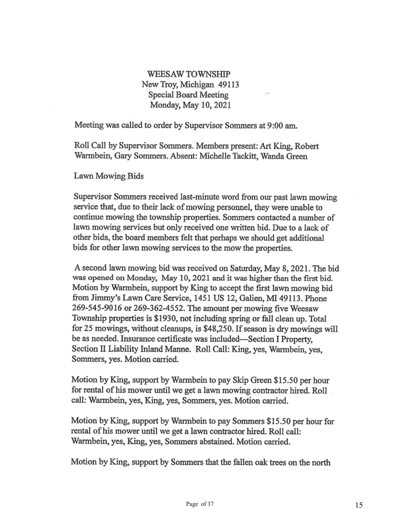# WEESAW TOWNSHIP New Troy, Michigan 49113 Special Board Meeting Monday, May 10, 2021

Meeting was called to order by Supervisor Sommers at 9:00 am.

Roll Call by Supervisor Sommers. Members present: Art King, Robert Warmbein, Gary Sommers. Absent: Michelle Tackitt, Wanda Green

Lawn Mowing Bids

Supervisor Sommers received last-minute word from our past lawn mowing service that, due to their lack of mowing personnel, they were unable to continue mowing the township properties. Sommers contacted a number of lawn mowing services but only received one written bid. Due to a lack of other bids, the board members felt that perhaps we should get additional bids for other lawn mowing services to the mow the properties.

A second lawn mowing bid was received on Saturday, May 8, 2021. The bid was opened on Monday, May 10, 2021 and it was higher than the first bid. Motion by Warmbein, support by King to accept the first lawn mowing bid from Jimmy's Lawn Care Service, 1451 US 12, Galien, MI 49113. Phone 269-545-9016 or 269-362-4552. The amount per mowing five Weesaw Township properties is \$1930, not including spring or fall clean up. Total for 25 mowings, without cleanups, is \$48,250. If season is dry mowings will be as needed. Insurance certificate was included---Section I Property, Section II Liability Inland Manne. Roll Call: King, yes, Warmbein, yes, Sommers, yes. Motion carried.

Motion by King, support by Warmbein to pay Skip Green \$15.50 per hour for rental of his mower until we get a lawn mowing contractor hired. Roll call: Warmbein, yes, King, yes, Sommers, yes. Motion carried.

Motion by King, support by Warmbein to pay Sommers \$15.50 per hour for rental of his mower until we get a lawn contractor hired. Roll call: Warmbein, yes, King, yes, Sommers abstained. Motion carried.

Motion by King, support by Sommers that the fallen oak trees on the north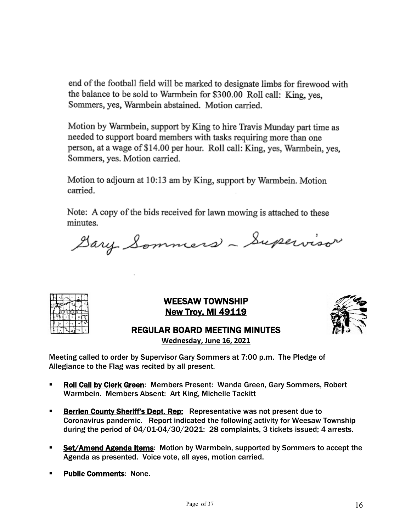end of the football field will be marked to designate limbs for firewood with the balance to be sold to Warmbein for \$300.00 Roll call: King, yes, Sommers, yes, Warmbein abstained. Motion carried.

Motion by Warmbein, support by King to hire Travis Munday part time as needed to support board members with tasks requiring more than one person, at a wage of \$14.00 per hour. Roll call: King, yes, Warmbein, yes, Sommers, yes. Motion carried.

Motion to adjourn at 10:13 am by King, support by Warmbein. Motion carried.

Note: A copy of the bids received for lawn mowing is attached to these minutes.

Dary Sommers - Supervisor



WEESAW TOWNSHIP **New Troy, MI 49119** 



REGULAR BOARD MEETING MINUTES

**Wednesday, June 16, 2021**

Meeting called to order by Supervisor Gary Sommers at 7:00 p.m. The Pledge of Allegiance to the Flag was recited by all present.

- Roll Call by Clerk Green: Members Present: Wanda Green, Gary Sommers, Robert Warmbein. Members Absent: Art King, Michelle Tackitt
- **Berrien County Sheriff's Dept. Rep:** Representative was not present due to Coronavirus pandemic. Report indicated the following activity for Weesaw Township during the period of 04/01-04/30/2021: 28 complaints, 3 tickets issued; 4 arrests.
- § Set/Amend Agenda Items: Motion by Warmbein, supported by Sommers to accept the Agenda as presented. Voice vote, all ayes, motion carried.
- § Public Comments: None.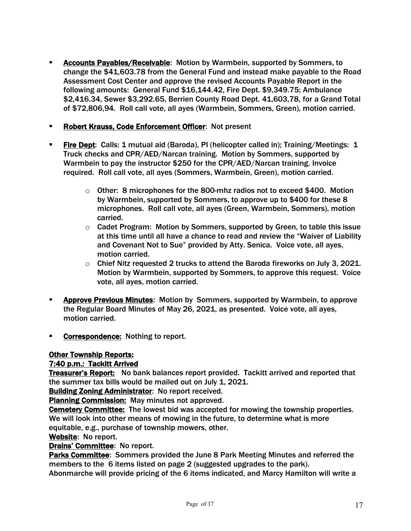- Accounts Payables/Receivable: Motion by Warmbein, supported by Sommers, to change the \$41,603.78 from the General Fund and instead make payable to the Road Assessment Cost Center and approve the revised Accounts Payable Report in the following amounts: General Fund \$16,144.42, Fire Dept. \$9,349.75; Ambulance \$2,416.34, Sewer \$3,292.65, Berrien County Road Dept. 41,603,78, for a Grand Total of \$72,806,94. Roll call vote, all ayes (Warmbein, Sommers, Green), motion carried.
- § Robert Krauss, Code Enforcement Officer: Not present
- **Fire Dept:** Calls: 1 mutual aid (Baroda), PI (helicopter called in); Training/Meetings: 1 Truck checks and CPR/AED/Narcan training. Motion by Sommers, supported by Warmbein to pay the instructor \$250 for the CPR/AED/Narcan training. Invoice required. Roll call vote, all ayes (Sommers, Warmbein, Green), motion carried.
	- $\circ$  Other: 8 microphones for the 800-mhz radios not to exceed \$400. Motion by Warmbein, supported by Sommers, to approve up to \$400 for these 8 microphones. Roll call vote, all ayes (Green, Warmbein, Sommers), motion carried.
	- $\circ$  Cadet Program: Motion by Sommers, supported by Green, to table this issue at this time until all have a chance to read and review the "Waiver of Liability and Covenant Not to Sue" provided by Atty. Senica. Voice vote, all ayes, motion carried.
	- $\circ$  Chief Nitz requested 2 trucks to attend the Baroda fireworks on July 3, 2021. Motion by Warmbein, supported by Sommers, to approve this request. Voice vote, all ayes, motion carried.
- § Approve Previous Minutes: Motion by Sommers, supported by Warmbein, to approve the Regular Board Minutes of May 26, 2021, as presented. Voice vote, all ayes, motion carried.
- Correspondence: Nothing to report.

### Other Township Reports:

### 7:40 p.m.: Tackitt Arrived

Treasurer's Report: No bank balances report provided. Tackitt arrived and reported that the summer tax bills would be mailed out on July 1, 2021.

Building Zoning Administrator: No report received.

Planning Commission: May minutes not approved.

Cemetery Committee: The lowest bid was accepted for mowing the township properties. We will look into other means of mowing in the future, to determine what is more equitable, e.g., purchase of township mowers, other.

### Website: No report.

### Drains' Committee: No report.

Parks Committee: Sommers provided the June 8 Park Meeting Minutes and referred the members to the 6 items listed on page 2 (suggested upgrades to the park).

Abonmarche will provide pricing of the 6 items indicated, and Marcy Hamilton will write a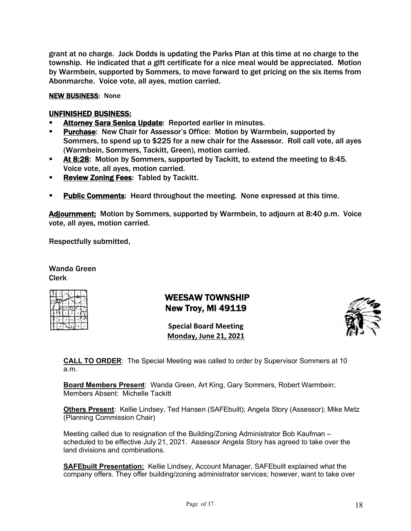grant at no charge. Jack Dodds is updating the Parks Plan at this time at no charge to the township. He indicated that a gift certificate for a nice meal would be appreciated. Motion by Warmbein, supported by Sommers, to move forward to get pricing on the six items from Abonmarche. Voice vote, all ayes, motion carried.

#### NEW BUSINESS: None

### UNFINISHED BUSINESS:

- Attorney Sara Senica Update: Reported earlier in minutes.
- **Purchase:** New Chair for Assessor's Office: Motion by Warmbein, supported by Sommers, to spend up to \$225 for a new chair for the Assessor. Roll call vote, all ayes (Warmbein, Sommers, Tackitt, Green), motion carried.
- **At 8:28:** Motion by Sommers, supported by Tackitt, to extend the meeting to 8:45. Voice vote, all ayes, motion carried.
- **Review Zoning Fees: Tabled by Tackitt.**
- **Public Comments:** Heard throughout the meeting. None expressed at this time.

Adjournment: Motion by Sommers, supported by Warmbein, to adjourn at 8:40 p.m. Voice vote, all ayes, motion carried.

Respectfully submitted,

Wanda Green Clerk

|   |           |   | <b>NOONE</b><br>n |   |
|---|-----------|---|-------------------|---|
| r | TE E TS A |   | W                 |   |
|   |           | н |                   | 쁣 |
|   |           |   | 26                |   |
|   |           |   | ×                 |   |

# WEESAW TOWNSHIP New Troy, MI 49119

**Special Board Meeting Monday, June 21, 2021**



**CALL TO ORDER**: The Special Meeting was called to order by Supervisor Sommers at 10 a.m.

**Board Members Present**: Wanda Green, Art King, Gary Sommers, Robert Warmbein; Members Absent: Michelle Tackitt

**Others Present**: Kellie Lindsey, Ted Hansen (SAFEbuilt); Angela Story (Assessor); Mike Metz (Planning Commission Chair)

Meeting called due to resignation of the Building/Zoning Administrator Bob Kaufman – scheduled to be effective July 21, 2021. Assessor Angela Story has agreed to take over the land divisions and combinations.

**SAFEbuilt Presentation:** Kellie Lindsey, Account Manager, SAFEbuilt explained what the company offers. They offer building/zoning administrator services; however, want to take over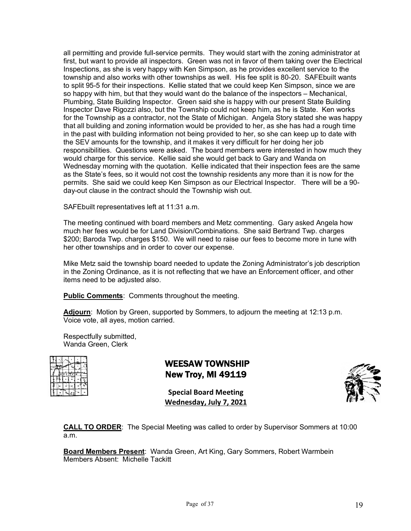all permitting and provide full-service permits. They would start with the zoning administrator at first, but want to provide all inspectors. Green was not in favor of them taking over the Electrical Inspections, as she is very happy with Ken Simpson, as he provides excellent service to the township and also works with other townships as well. His fee split is 80-20. SAFEbuilt wants to split 95-5 for their inspections. Kellie stated that we could keep Ken Simpson, since we are so happy with him, but that they would want do the balance of the inspectors – Mechanical, Plumbing, State Building Inspector. Green said she is happy with our present State Building Inspector Dave Rigozzi also, but the Township could not keep him, as he is State. Ken works for the Township as a contractor, not the State of Michigan. Angela Story stated she was happy that all building and zoning information would be provided to her, as she has had a rough time in the past with building information not being provided to her, so she can keep up to date with the SEV amounts for the township, and it makes it very difficult for her doing her job responsibilities. Questions were asked. The board members were interested in how much they would charge for this service. Kellie said she would get back to Gary and Wanda on Wednesday morning with the quotation. Kellie indicated that their inspection fees are the same as the State's fees, so it would not cost the township residents any more than it is now for the permits. She said we could keep Ken Simpson as our Electrical Inspector. There will be a 90 day-out clause in the contract should the Township wish out.

SAFEbuilt representatives left at 11:31 a.m.

The meeting continued with board members and Metz commenting. Gary asked Angela how much her fees would be for Land Division/Combinations. She said Bertrand Twp. charges \$200; Baroda Twp. charges \$150. We will need to raise our fees to become more in tune with her other townships and in order to cover our expense.

Mike Metz said the township board needed to update the Zoning Administrator's job description in the Zoning Ordinance, as it is not reflecting that we have an Enforcement officer, and other items need to be adjusted also.

**Public Comments**: Comments throughout the meeting.

**Adjourn**: Motion by Green, supported by Sommers, to adjourn the meeting at 12:13 p.m. Voice vote, all ayes, motion carried.

Respectfully submitted, Wanda Green, Clerk

|  |  | и |  |
|--|--|---|--|
|  |  |   |  |
|  |  |   |  |
|  |  |   |  |
|  |  |   |  |

# WEESAW TOWNSHIP New Troy, MI 49119

**Special Board Meeting Wednesday, July 7, 2021**



**CALL TO ORDER**: The Special Meeting was called to order by Supervisor Sommers at 10:00 a.m.

**Board Members Present**: Wanda Green, Art King, Gary Sommers, Robert Warmbein Members Absent: Michelle Tackitt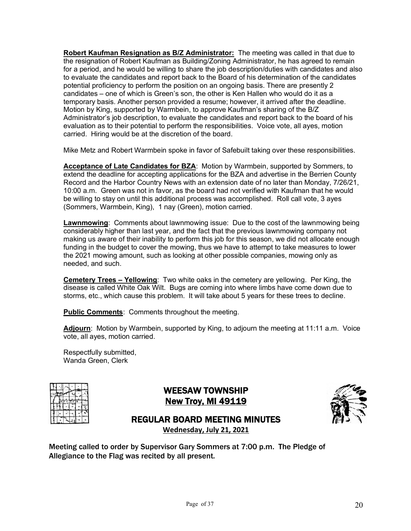**Robert Kaufman Resignation as B/Z Administrator:** The meeting was called in that due to the resignation of Robert Kaufman as Building/Zoning Administrator, he has agreed to remain for a period, and he would be willing to share the job description/duties with candidates and also to evaluate the candidates and report back to the Board of his determination of the candidates potential proficiency to perform the position on an ongoing basis. There are presently 2 candidates – one of which is Green's son, the other is Ken Hallen who would do it as a temporary basis. Another person provided a resume; however, it arrived after the deadline. Motion by King, supported by Warmbein, to approve Kaufman's sharing of the B/Z Administrator's job description, to evaluate the candidates and report back to the board of his evaluation as to their potential to perform the responsibilities. Voice vote, all ayes, motion carried. Hiring would be at the discretion of the board.

Mike Metz and Robert Warmbein spoke in favor of Safebuilt taking over these responsibilities.

Acceptance of Late Candidates for BZA: Motion by Warmbein, supported by Sommers, to extend the deadline for accepting applications for the BZA and advertise in the Berrien County Record and the Harbor Country News with an extension date of no later than Monday, 7/26/21, 10:00 a.m. Green was not in favor, as the board had not verified with Kaufman that he would be willing to stay on until this additional process was accomplished. Roll call vote, 3 ayes (Sommers, Warmbein, King), 1 nay (Green), motion carried.

**Lawnmowing**: Comments about lawnmowing issue: Due to the cost of the lawnmowing being considerably higher than last year, and the fact that the previous lawnmowing company not making us aware of their inability to perform this job for this season, we did not allocate enough funding in the budget to cover the mowing, thus we have to attempt to take measures to lower the 2021 mowing amount, such as looking at other possible companies, mowing only as needed, and such.

**Cemetery Trees – Yellowing**: Two white oaks in the cemetery are yellowing. Per King, the disease is called White Oak Wilt. Bugs are coming into where limbs have come down due to storms, etc., which cause this problem. It will take about 5 years for these trees to decline.

**Public Comments:** Comments throughout the meeting.

Adjourn: Motion by Warmbein, supported by King, to adjourn the meeting at 11:11 a.m. Voice vote, all ayes, motion carried.

Respectfully submitted, Wanda Green, Clerk

|  |         |   | <b>Robert</b><br>≕ |   |
|--|---------|---|--------------------|---|
|  | EETSATW |   |                    |   |
|  |         | m |                    | 픵 |
|  |         |   | M                  |   |
|  |         |   |                    |   |

WEESAW TOWNSHIP New Troy, MI 49119



# REGULAR BOARD MEETING MINUTES

**Wednesday, July 21, 2021**

Meeting called to order by Supervisor Gary Sommers at 7:00 p.m. The Pledge of Allegiance to the Flag was recited by all present.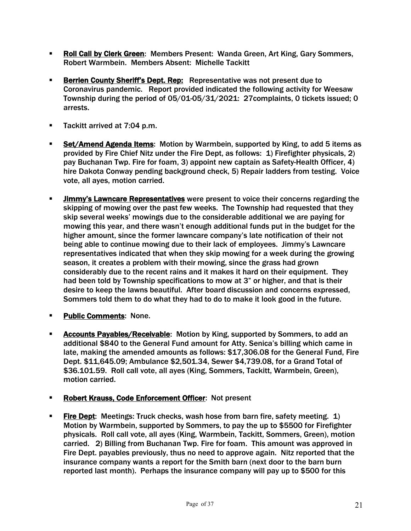- **Roll Call by Clerk Green:** Members Present: Wanda Green, Art King, Gary Sommers, Robert Warmbein. Members Absent: Michelle Tackitt
- **Berrien County Sheriff's Dept. Rep:** Representative was not present due to Coronavirus pandemic. Report provided indicated the following activity for Weesaw Township during the period of 05/01-05/31/2021: 27complaints, 0 tickets issued; 0 arrests.
- Tackitt arrived at 7:04 p.m.
- § Set/Amend Agenda Items: Motion by Warmbein, supported by King, to add 5 items as provided by Fire Chief Nitz under the Fire Dept, as follows: 1) Firefighter physicals, 2) pay Buchanan Twp. Fire for foam, 3) appoint new captain as Safety-Health Officer, 4) hire Dakota Conway pending background check, 5) Repair ladders from testing. Voice vote, all ayes, motion carried.
- **EXECT** Jimmy's Lawncare Representatives were present to voice their concerns regarding the skipping of mowing over the past few weeks. The Township had requested that they skip several weeks' mowings due to the considerable additional we are paying for mowing this year, and there wasn't enough additional funds put in the budget for the higher amount, since the former lawncare company's late notification of their not being able to continue mowing due to their lack of employees. Jimmy's Lawncare representatives indicated that when they skip mowing for a week during the growing season, it creates a problem with their mowing, since the grass had grown considerably due to the recent rains and it makes it hard on their equipment. They had been told by Township specifications to mow at 3" or higher, and that is their desire to keep the lawns beautiful. After board discussion and concerns expressed, Sommers told them to do what they had to do to make it look good in the future.
- **Public Comments: None.**
- **Accounts Payables/Receivable:** Motion by King, supported by Sommers, to add an additional \$840 to the General Fund amount for Atty. Senica's billing which came in late, making the amended amounts as follows: \$17,306.08 for the General Fund, Fire Dept. \$11,645.09; Ambulance \$2,501.34, Sewer \$4,739.08, for a Grand Total of \$36.101.59. Roll call vote, all ayes (King, Sommers, Tackitt, Warmbein, Green), motion carried.
- § Robert Krauss, Code Enforcement Officer: Not present
- **Fire Dept:** Meetings: Truck checks, wash hose from barn fire, safety meeting. 1) Motion by Warmbein, supported by Sommers, to pay the up to \$5500 for Firefighter physicals. Roll call vote, all ayes (King, Warmbein, Tackitt, Sommers, Green), motion carried. 2) Billing from Buchanan Twp. Fire for foam. This amount was approved in Fire Dept. payables previously, thus no need to approve again. Nitz reported that the insurance company wants a report for the Smith barn (next door to the barn burn reported last month). Perhaps the insurance company will pay up to \$500 for this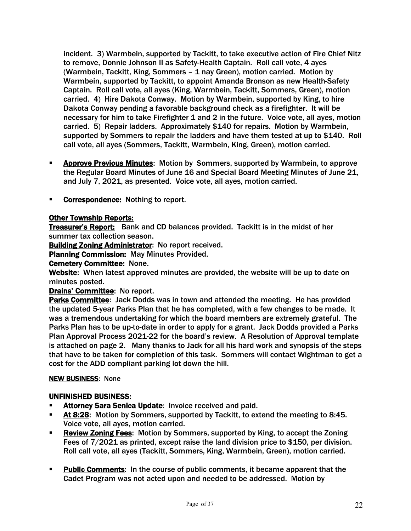incident. 3) Warmbein, supported by Tackitt, to take executive action of Fire Chief Nitz to remove, Donnie Johnson II as Safety-Health Captain. Roll call vote, 4 ayes (Warmbein, Tackitt, King, Sommers – 1 nay Green), motion carried. Motion by Warmbein, supported by Tackitt, to appoint Amanda Bronson as new Health-Safety Captain. Roll call vote, all ayes (King, Warmbein, Tackitt, Sommers, Green), motion carried. 4) Hire Dakota Conway. Motion by Warmbein, supported by King, to hire Dakota Conway pending a favorable background check as a firefighter. It will be necessary for him to take Firefighter 1 and 2 in the future. Voice vote, all ayes, motion carried. 5) Repair ladders. Approximately \$140 for repairs. Motion by Warmbein, supported by Sommers to repair the ladders and have them tested at up to \$140. Roll call vote, all ayes (Sommers, Tackitt, Warmbein, King, Green), motion carried.

- **EXPEDENT Approve Previous Minutes:** Motion by Sommers, supported by Warmbein, to approve the Regular Board Minutes of June 16 and Special Board Meeting Minutes of June 21, and July 7, 2021, as presented. Voice vote, all ayes, motion carried.
- Correspondence: Nothing to report.

### Other Township Reports:

**Treasurer's Report:** Bank and CD balances provided. Tackitt is in the midst of her summer tax collection season.

Building Zoning Administrator: No report received.

Planning Commission: May Minutes Provided.

**Cemetery Committee: None.** 

Website: When latest approved minutes are provided, the website will be up to date on minutes posted.

### Drains' Committee: No report.

Parks Committee: Jack Dodds was in town and attended the meeting. He has provided the updated 5-year Parks Plan that he has completed, with a few changes to be made. It was a tremendous undertaking for which the board members are extremely grateful. The Parks Plan has to be up-to-date in order to apply for a grant. Jack Dodds provided a Parks Plan Approval Process 2021-22 for the board's review. A Resolution of Approval template is attached on page 2. Many thanks to Jack for all his hard work and synopsis of the steps that have to be taken for completion of this task. Sommers will contact Wightman to get a cost for the ADD compliant parking lot down the hill.

### **NEW BUSINESS: None**

### UNFINISHED BUSINESS:

- Attorney Sara Senica Update: Invoice received and paid.
- **At 8:28:** Motion by Sommers, supported by Tackitt, to extend the meeting to 8:45. Voice vote, all ayes, motion carried.
- **Review Zoning Fees:** Motion by Sommers, supported by King, to accept the Zoning Fees of 7/2021 as printed, except raise the land division price to \$150, per division. Roll call vote, all ayes (Tackitt, Sommers, King, Warmbein, Green), motion carried.
- § Public Comments: In the course of public comments, it became apparent that the Cadet Program was not acted upon and needed to be addressed. Motion by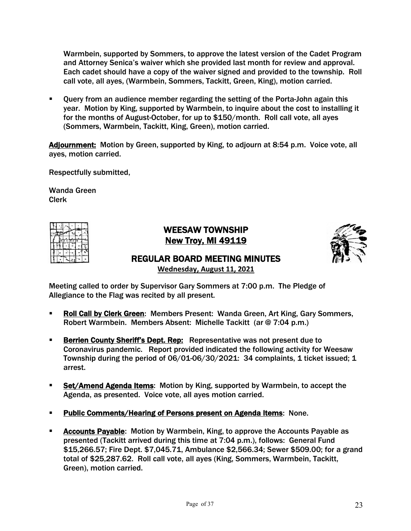Warmbein, supported by Sommers, to approve the latest version of the Cadet Program and Attorney Senica's waiver which she provided last month for review and approval. Each cadet should have a copy of the waiver signed and provided to the township. Roll call vote, all ayes, (Warmbein, Sommers, Tackitt, Green, King), motion carried.

Query from an audience member regarding the setting of the Porta-John again this year. Motion by King, supported by Warmbein, to inquire about the cost to installing it for the months of August-October, for up to \$150/month. Roll call vote, all ayes (Sommers, Warmbein, Tackitt, King, Green), motion carried.

Adjournment: Motion by Green, supported by King, to adjourn at 8:54 p.m. Voice vote, all ayes, motion carried.

Respectfully submitted,

Wanda Green Clerk

|  | EETSA |   |   |
|--|-------|---|---|
|  |       |   | 붕 |
|  |       | M |   |
|  |       |   |   |

# WEESAW TOWNSHIP New Troy, MI 49119



# REGULAR BOARD MEETING MINUTES

**Wednesday, August 11, 2021**

Meeting called to order by Supervisor Gary Sommers at 7:00 p.m. The Pledge of Allegiance to the Flag was recited by all present.

- § Roll Call by Clerk Green: Members Present: Wanda Green, Art King, Gary Sommers, Robert Warmbein. Members Absent: Michelle Tackitt (ar @ 7:04 p.m.)
- **EXECTE:** Berrien County Sheriff's Dept. Rep: Representative was not present due to Coronavirus pandemic. Report provided indicated the following activity for Weesaw Township during the period of 06/01-06/30/2021: 34 complaints, 1 ticket issued; 1 arrest.
- § Set/Amend Agenda Items: Motion by King, supported by Warmbein, to accept the Agenda, as presented. Voice vote, all ayes motion carried.
- Public Comments/Hearing of Persons present on Agenda Items: None.
- **EXP** Accounts Payable: Motion by Warmbein, King, to approve the Accounts Payable as presented (Tackitt arrived during this time at 7:04 p.m.), follows: General Fund \$15,266.57; Fire Dept. \$7,045.71, Ambulance \$2,566.34; Sewer \$509.00; for a grand total of \$25,287.62. Roll call vote, all ayes (King, Sommers, Warmbein, Tackitt, Green), motion carried.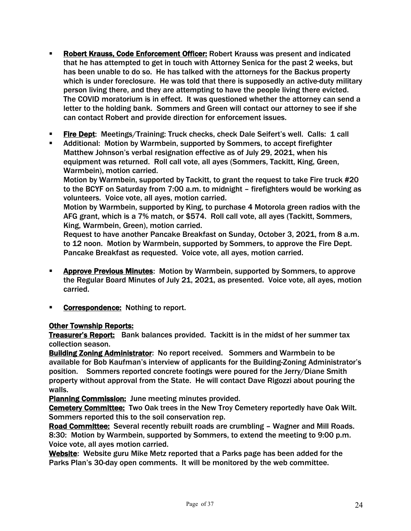- § Robert Krauss, Code Enforcement Officer: Robert Krauss was present and indicated that he has attempted to get in touch with Attorney Senica for the past 2 weeks, but has been unable to do so. He has talked with the attorneys for the Backus property which is under foreclosure. He was told that there is supposedly an active-duty military person living there, and they are attempting to have the people living there evicted. The COVID moratorium is in effect. It was questioned whether the attorney can send a letter to the holding bank. Sommers and Green will contact our attorney to see if she can contact Robert and provide direction for enforcement issues.
- § Fire Dept: Meetings/Training: Truck checks, check Dale Seifert's well. Calls: 1 call
- § Additional: Motion by Warmbein, supported by Sommers, to accept firefighter Matthew Johnson's verbal resignation effective as of July 29, 2021, when his equipment was returned. Roll call vote, all ayes (Sommers, Tackitt, King, Green, Warmbein), motion carried.

Motion by Warmbein, supported by Tackitt, to grant the request to take Fire truck #20 to the BCYF on Saturday from 7:00 a.m. to midnight – firefighters would be working as volunteers. Voice vote, all ayes, motion carried.

Motion by Warmbein, supported by King, to purchase 4 Motorola green radios with the AFG grant, which is a 7% match, or \$574. Roll call vote, all ayes (Tackitt, Sommers, King, Warmbein, Green), motion carried.

Request to have another Pancake Breakfast on Sunday, October 3, 2021, from 8 a.m. to 12 noon. Motion by Warmbein, supported by Sommers, to approve the Fire Dept. Pancake Breakfast as requested. Voice vote, all ayes, motion carried.

- § Approve Previous Minutes: Motion by Warmbein, supported by Sommers, to approve the Regular Board Minutes of July 21, 2021, as presented. Voice vote, all ayes, motion carried.
- Correspondence: Nothing to report.

### Other Township Reports:

Treasurer's Report: Bank balances provided. Tackitt is in the midst of her summer tax collection season.

Building Zoning Administrator: No report received. Sommers and Warmbein to be available for Bob Kaufman's interview of applicants for the Building-Zoning Administrator's position. Sommers reported concrete footings were poured for the Jerry/Diane Smith property without approval from the State. He will contact Dave Rigozzi about pouring the walls.

Planning Commission: June meeting minutes provided.

Cemetery Committee: Two Oak trees in the New Troy Cemetery reportedly have Oak Wilt. Sommers reported this to the soil conservation rep.

Road Committee: Several recently rebuilt roads are crumbling – Wagner and Mill Roads. 8:30: Motion by Warmbein, supported by Sommers, to extend the meeting to 9:00 p.m. Voice vote, all ayes motion carried.

Website: Website guru Mike Metz reported that a Parks page has been added for the Parks Plan's 30-day open comments. It will be monitored by the web committee.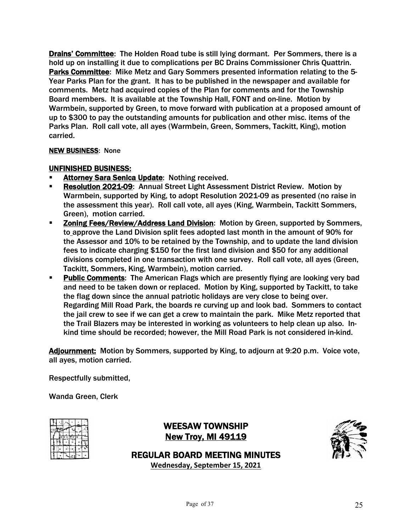Drains' Committee: The Holden Road tube is still lying dormant. Per Sommers, there is a hold up on installing it due to complications per BC Drains Commissioner Chris Quattrin. Parks Committee: Mike Metz and Gary Sommers presented information relating to the 5- Year Parks Plan for the grant. It has to be published in the newspaper and available for comments. Metz had acquired copies of the Plan for comments and for the Township Board members. It is available at the Township Hall, FONT and on-line. Motion by Warmbein, supported by Green, to move forward with publication at a proposed amount of up to \$300 to pay the outstanding amounts for publication and other misc. items of the Parks Plan. Roll call vote, all ayes (Warmbein, Green, Sommers, Tackitt, King), motion carried.

### NEW BUSINESS: None

### UNFINISHED BUSINESS:

- Attorney Sara Senica Update: Nothing received.
- § Resolution 2021-09: Annual Street Light Assessment District Review. Motion by Warmbein, supported by King, to adopt Resolution 2021-09 as presented (no raise in the assessment this year). Roll call vote, all ayes (King, Warmbein, Tackitt Sommers, Green), motion carried.
- § Zoning Fees/Review/Address Land Division: Motion by Green, supported by Sommers, to approve the Land Division split fees adopted last month in the amount of 90% for the Assessor and 10% to be retained by the Township, and to update the land division fees to indicate charging \$150 for the first land division and \$50 for any additional divisions completed in one transaction with one survey. Roll call vote, all ayes (Green, Tackitt, Sommers, King, Warmbein), motion carried.
- Public Comments: The American Flags which are presently flying are looking very bad and need to be taken down or replaced. Motion by King, supported by Tackitt, to take the flag down since the annual patriotic holidays are very close to being over. Regarding Mill Road Park, the boards re curving up and look bad. Sommers to contact the jail crew to see if we can get a crew to maintain the park. Mike Metz reported that the Trail Blazers may be interested in working as volunteers to help clean up also. Inkind time should be recorded; however, the Mill Road Park is not considered in-kind.

Adjournment: Motion by Sommers, supported by King, to adjourn at 9:20 p.m. Voice vote, all ayes, motion carried.

Respectfully submitted,

Wanda Green, Clerk

|  |                        | m |   |
|--|------------------------|---|---|
|  | $E$ $E$ $15^{\circ}$ A |   |   |
|  |                        |   | ő |
|  |                        | M |   |
|  |                        |   |   |

WEESAW TOWNSHIP New Troy, MI 49119



REGULAR BOARD MEETING MINUTES

**Wednesday, September 15, 2021**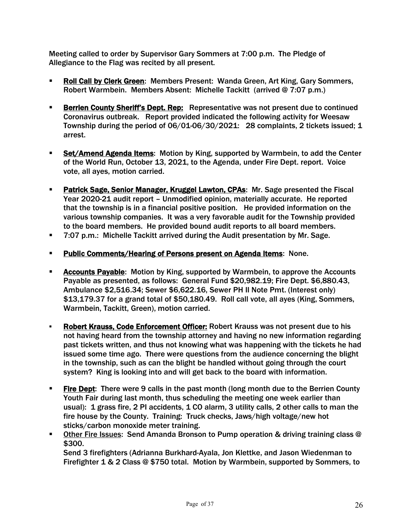Meeting called to order by Supervisor Gary Sommers at 7:00 p.m. The Pledge of Allegiance to the Flag was recited by all present.

- Roll Call by Clerk Green: Members Present: Wanda Green, Art King, Gary Sommers, Robert Warmbein. Members Absent: Michelle Tackitt (arrived @ 7:07 p.m.)
- **Berrien County Sheriff's Dept. Rep:** Representative was not present due to continued Coronavirus outbreak. Report provided indicated the following activity for Weesaw Township during the period of 06/01-06/30/2021: 28 complaints, 2 tickets issued; 1 arrest.
- **Set/Amend Agenda Items:** Motion by King, supported by Warmbein, to add the Center of the World Run, October 13, 2021, to the Agenda, under Fire Dept. report. Voice vote, all ayes, motion carried.
- Patrick Sage, Senior Manager, Kruggel Lawton, CPAs: Mr. Sage presented the Fiscal Year 2020-21 audit report – Unmodified opinion, materially accurate. He reported that the township is in a financial positive position. He provided information on the various township companies. It was a very favorable audit for the Township provided to the board members. He provided bound audit reports to all board members.
- § 7:07 p.m.: Michelle Tackitt arrived during the Audit presentation by Mr. Sage.
- **Public Comments/Hearing of Persons present on Agenda Items:** None.
- § Accounts Payable: Motion by King, supported by Warmbein, to approve the Accounts Payable as presented, as follows: General Fund \$20,982.19; Fire Dept. \$6,880.43, Ambulance \$2,516.34; Sewer \$6,622.16, Sewer PH II Note Pmt. (Interest only) \$13,179.37 for a grand total of \$50,180.49. Roll call vote, all ayes (King, Sommers, Warmbein, Tackitt, Green), motion carried.
- § Robert Krauss, Code Enforcement Officer: Robert Krauss was not present due to his not having heard from the township attorney and having no new information regarding past tickets written, and thus not knowing what was happening with the tickets he had issued some time ago. There were questions from the audience concerning the blight in the township, such as can the blight be handled without going through the court system? King is looking into and will get back to the board with information.
- **Eire Dept:** There were 9 calls in the past month (long month due to the Berrien County Youth Fair during last month, thus scheduling the meeting one week earlier than usual): 1 grass fire, 2 PI accidents, 1 CO alarm, 3 utility calls, 2 other calls to man the fire house by the County. Training: Truck checks, Jaws/high voltage/new hot sticks/carbon monoxide meter training.
- § Other Fire Issues: Send Amanda Bronson to Pump operation & driving training class @ \$300.

Send 3 firefighters (Adrianna Burkhard-Ayala, Jon Klettke, and Jason Wiedenman to Firefighter 1 & 2 Class @ \$750 total. Motion by Warmbein, supported by Sommers, to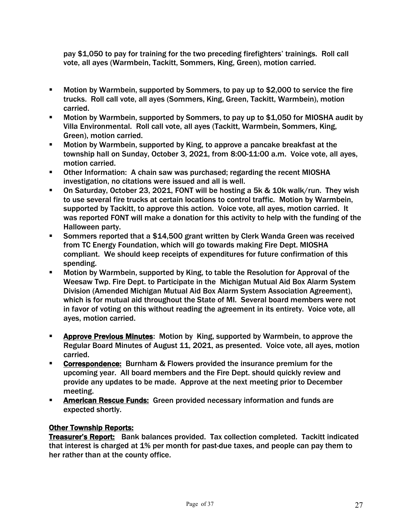pay \$1,050 to pay for training for the two preceding firefighters' trainings. Roll call vote, all ayes (Warmbein, Tackitt, Sommers, King, Green), motion carried.

- § Motion by Warmbein, supported by Sommers, to pay up to \$2,000 to service the fire trucks. Roll call vote, all ayes (Sommers, King, Green, Tackitt, Warmbein), motion carried.
- § Motion by Warmbein, supported by Sommers, to pay up to \$1,050 for MIOSHA audit by Villa Environmental. Roll call vote, all ayes (Tackitt, Warmbein, Sommers, King, Green), motion carried.
- § Motion by Warmbein, supported by King, to approve a pancake breakfast at the township hall on Sunday, October 3, 2021, from 8:00-11:00 a.m. Voice vote, all ayes, motion carried.
- § Other Information: A chain saw was purchased; regarding the recent MIOSHA investigation, no citations were issued and all is well.
- § On Saturday, October 23, 2021, FONT will be hosting a 5k & 10k walk/run. They wish to use several fire trucks at certain locations to control traffic. Motion by Warmbein, supported by Tackitt, to approve this action. Voice vote, all ayes, motion carried. It was reported FONT will make a donation for this activity to help with the funding of the Halloween party.
- Sommers reported that a \$14,500 grant written by Clerk Wanda Green was received from TC Energy Foundation, which will go towards making Fire Dept. MIOSHA compliant. We should keep receipts of expenditures for future confirmation of this spending.
- Motion by Warmbein, supported by King, to table the Resolution for Approval of the Weesaw Twp. Fire Dept. to Participate in the Michigan Mutual Aid Box Alarm System Division (Amended Michigan Mutual Aid Box Alarm System Association Agreement), which is for mutual aid throughout the State of MI. Several board members were not in favor of voting on this without reading the agreement in its entirety. Voice vote, all ayes, motion carried.
- **Example 2 Approve Previous Minutes:** Motion by King, supported by Warmbein, to approve the Regular Board Minutes of August 11, 2021, as presented. Voice vote, all ayes, motion carried.
- **Correspondence:** Burnham & Flowers provided the insurance premium for the upcoming year. All board members and the Fire Dept. should quickly review and provide any updates to be made. Approve at the next meeting prior to December meeting.
- **EXECTE:** American Rescue Funds: Green provided necessary information and funds are expected shortly.

# Other Township Reports:

Treasurer's Report: Bank balances provided. Tax collection completed. Tackitt indicated that interest is charged at 1% per month for past-due taxes, and people can pay them to her rather than at the county office.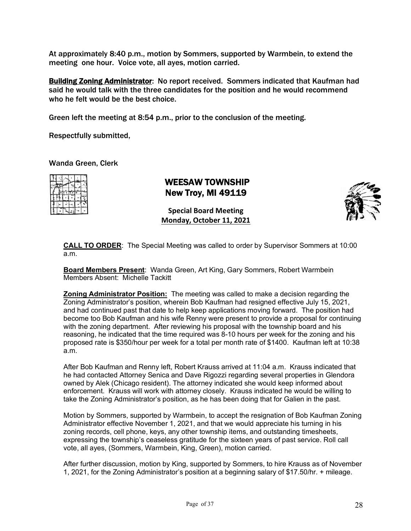At approximately 8:40 p.m., motion by Sommers, supported by Warmbein, to extend the meeting one hour. Voice vote, all ayes, motion carried.

**Building Zoning Administrator:** No report received. Sommers indicated that Kaufman had said he would talk with the three candidates for the position and he would recommend who he felt would be the best choice.

Green left the meeting at 8:54 p.m., prior to the conclusion of the meeting.

Respectfully submitted,

Wanda Green, Clerk

|    |       | <b>TELLA</b> |   |
|----|-------|--------------|---|
| m. | FEISA | ۰            |   |
|    |       |              | ÷ |
|    |       |              |   |
|    |       |              |   |

# WEESAW TOWNSHIP New Troy, MI 49119

**Special Board Meeting Monday, October 11, 2021**



**CALL TO ORDER**: The Special Meeting was called to order by Supervisor Sommers at 10:00 a.m.

**Board Members Present**: Wanda Green, Art King, Gary Sommers, Robert Warmbein Members Absent: Michelle Tackitt

**Zoning Administrator Position:** The meeting was called to make a decision regarding the Zoning Administrator's position, wherein Bob Kaufman had resigned effective July 15, 2021, and had continued past that date to help keep applications moving forward. The position had become too Bob Kaufman and his wife Renny were present to provide a proposal for continuing with the zoning department. After reviewing his proposal with the township board and his reasoning, he indicated that the time required was 8-10 hours per week for the zoning and his proposed rate is \$350/hour per week for a total per month rate of \$1400. Kaufman left at 10:38 a.m.

After Bob Kaufman and Renny left, Robert Krauss arrived at 11:04 a.m. Krauss indicated that he had contacted Attorney Senica and Dave Rigozzi regarding several properties in Glendora owned by Alek (Chicago resident). The attorney indicated she would keep informed about enforcement. Krauss will work with attorney closely. Krauss indicated he would be willing to take the Zoning Administrator's position, as he has been doing that for Galien in the past.

Motion by Sommers, supported by Warmbein, to accept the resignation of Bob Kaufman Zoning Administrator effective November 1, 2021, and that we would appreciate his turning in his zoning records, cell phone, keys, any other township items, and outstanding timesheets, expressing the township's ceaseless gratitude for the sixteen years of past service. Roll call vote, all ayes, (Sommers, Warmbein, King, Green), motion carried.

After further discussion, motion by King, supported by Sommers, to hire Krauss as of November 1, 2021, for the Zoning Administrator's position at a beginning salary of \$17.50/hr. + mileage.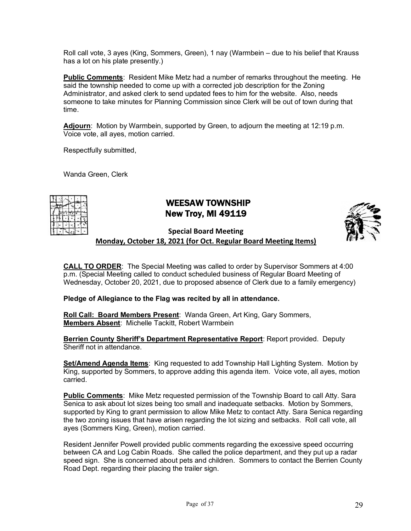Roll call vote, 3 ayes (King, Sommers, Green), 1 nay (Warmbein – due to his belief that Krauss has a lot on his plate presently.)

**Public Comments**: Resident Mike Metz had a number of remarks throughout the meeting. He said the township needed to come up with a corrected job description for the Zoning Administrator, and asked clerk to send updated fees to him for the website. Also, needs someone to take minutes for Planning Commission since Clerk will be out of town during that time.

**Adjourn**: Motion by Warmbein, supported by Green, to adjourn the meeting at 12:19 p.m. Voice vote, all ayes, motion carried.

Respectfully submitted,

Wanda Green, Clerk

# WEESAW TOWNSHIP New Troy, MI 49119



**Special Board Meeting**

**Monday, October 18, 2021 (for Oct. Regular Board Meeting Items)**

**CALL TO ORDER**: The Special Meeting was called to order by Supervisor Sommers at 4:00 p.m. (Special Meeting called to conduct scheduled business of Regular Board Meeting of Wednesday, October 20, 2021, due to proposed absence of Clerk due to a family emergency)

**Pledge of Allegiance to the Flag was recited by all in attendance.**

**Roll Call: Board Members Present**: Wanda Green, Art King, Gary Sommers, **Members Absent**: Michelle Tackitt, Robert Warmbein

**Berrien County Sheriff's Department Representative Report**: Report provided. Deputy Sheriff not in attendance.

**Set/Amend Agenda Items**: King requested to add Township Hall Lighting System. Motion by King, supported by Sommers, to approve adding this agenda item. Voice vote, all ayes, motion carried.

**Public Comments**: Mike Metz requested permission of the Township Board to call Atty. Sara Senica to ask about lot sizes being too small and inadequate setbacks. Motion by Sommers, supported by King to grant permission to allow Mike Metz to contact Atty. Sara Senica regarding the two zoning issues that have arisen regarding the lot sizing and setbacks. Roll call vote, all ayes (Sommers King, Green), motion carried.

Resident Jennifer Powell provided public comments regarding the excessive speed occurring between CA and Log Cabin Roads. She called the police department, and they put up a radar speed sign. She is concerned about pets and children. Sommers to contact the Berrien County Road Dept. regarding their placing the trailer sign.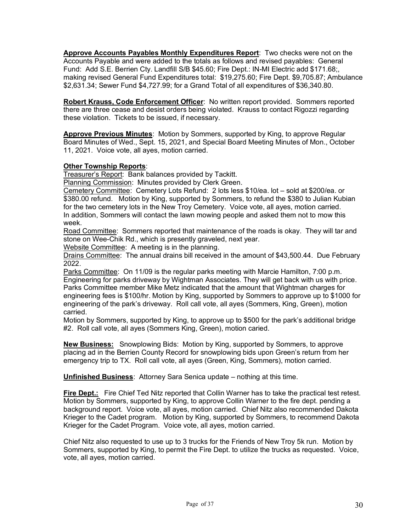**Approve Accounts Payables Monthly Expenditures Report**: Two checks were not on the Accounts Payable and were added to the totals as follows and revised payables: General Fund: Add S.E. Berrien Cty. Landfill S/B \$45.60; Fire Dept.: IN-MI Electric add \$171.68;, making revised General Fund Expenditures total: \$19,275.60; Fire Dept. \$9,705.87; Ambulance \$2,631.34; Sewer Fund \$4,727.99; for a Grand Total of all expenditures of \$36,340.80.

**Robert Krauss, Code Enforcement Officer**: No written report provided. Sommers reported there are three cease and desist orders being violated. Krauss to contact Rigozzi regarding these violation. Tickets to be issued, if necessary.

**Approve Previous Minutes**: Motion by Sommers, supported by King, to approve Regular Board Minutes of Wed., Sept. 15, 2021, and Special Board Meeting Minutes of Mon., October 11, 2021. Voice vote, all ayes, motion carried.

#### **Other Township Reports**:

Treasurer's Report: Bank balances provided by Tackitt.

Planning Commission: Minutes provided by Clerk Green.

Cemetery Committee: Cemetery Lots Refund: 2 lots less \$10/ea. lot – sold at \$200/ea. or \$380.00 refund. Motion by King, supported by Sommers, to refund the \$380 to Julian Kubian for the two cemetery lots in the New Troy Cemetery. Voice vote, all ayes, motion carried. In addition, Sommers will contact the lawn mowing people and asked them not to mow this week.

Road Committee: Sommers reported that maintenance of the roads is okay. They will tar and stone on Wee-Chik Rd., which is presently graveled, next year.

Website Committee: A meeting is in the planning.

Drains Committee: The annual drains bill received in the amount of \$43,500.44. Due February 2022.

Parks Committee: On 11/09 is the regular parks meeting with Marcie Hamilton, 7:00 p.m. Engineering for parks driveway by Wightman Associates. They will get back with us with price. Parks Committee member Mike Metz indicated that the amount that Wightman charges for engineering fees is \$100/hr. Motion by King, supported by Sommers to approve up to \$1000 for engineering of the park's driveway. Roll call vote, all ayes (Sommers, King, Green), motion carried.

Motion by Sommers, supported by King, to approve up to \$500 for the park's additional bridge #2. Roll call vote, all ayes (Sommers King, Green), motion caried.

**New Business:** Snowplowing Bids: Motion by King, supported by Sommers, to approve placing ad in the Berrien County Record for snowplowing bids upon Green's return from her emergency trip to TX. Roll call vote, all ayes (Green, King, Sommers), motion carried.

**Unfinished Business**: Attorney Sara Senica update – nothing at this time.

**Fire Dept.:** Fire Chief Ted Nitz reported that Collin Warner has to take the practical test retest. Motion by Sommers, supported by King, to approve Collin Warner to the fire dept. pending a background report. Voice vote, all ayes, motion carried. Chief Nitz also recommended Dakota Krieger to the Cadet program. Motion by King, supported by Sommers, to recommend Dakota Krieger for the Cadet Program. Voice vote, all ayes, motion carried.

Chief Nitz also requested to use up to 3 trucks for the Friends of New Troy 5k run. Motion by Sommers, supported by King, to permit the Fire Dept. to utilize the trucks as requested. Voice, vote, all ayes, motion carried.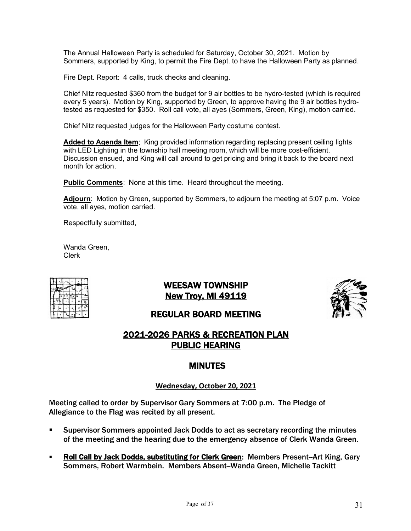The Annual Halloween Party is scheduled for Saturday, October 30, 2021. Motion by Sommers, supported by King, to permit the Fire Dept. to have the Halloween Party as planned.

Fire Dept. Report: 4 calls, truck checks and cleaning.

Chief Nitz requested \$360 from the budget for 9 air bottles to be hydro-tested (which is required every 5 years). Motion by King, supported by Green, to approve having the 9 air bottles hydrotested as requested for \$350. Roll call vote, all ayes (Sommers, Green, King), motion carried.

Chief Nitz requested judges for the Halloween Party costume contest.

**Added to Agenda Item**; King provided information regarding replacing present ceiling lights with LED Lighting in the township hall meeting room, which will be more cost-efficient. Discussion ensued, and King will call around to get pricing and bring it back to the board next month for action.

**Public Comments**: None at this time. Heard throughout the meeting.

**Adjourn**: Motion by Green, supported by Sommers, to adjourn the meeting at 5:07 p.m. Voice vote, all ayes, motion carried.

Respectfully submitted,

Wanda Green, Clerk

| ۰ | $E E \sin \frac{\pi}{2}$ | w |   |
|---|--------------------------|---|---|
|   |                          |   | 픵 |
| z |                          | M |   |
|   |                          |   |   |

WEESAW TOWNSHIP New Troy, MI 49119



# REGULAR BOARD MEETING

# 2021-2026 PARKS & RECREATION PLAN PUBLIC HEARING

# MINUTES

### **Wednesday, October 20, 2021**

Meeting called to order by Supervisor Gary Sommers at 7:00 p.m. The Pledge of Allegiance to the Flag was recited by all present.

- § Supervisor Sommers appointed Jack Dodds to act as secretary recording the minutes of the meeting and the hearing due to the emergency absence of Clerk Wanda Green.
- Roll Call by Jack Dodds, substituting for Clerk Green: Members Present-Art King, Gary Sommers, Robert Warmbein. Members Absent-Wanda Green, Michelle Tackitt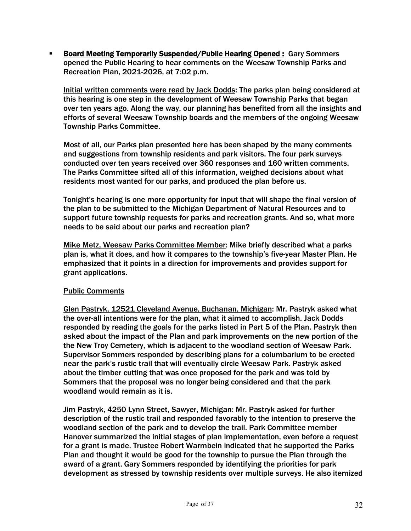§ Board Meeting Temporarily Suspended/Public Hearing Opened : Gary Sommers opened the Public Hearing to hear comments on the Weesaw Township Parks and Recreation Plan, 2021-2026, at 7:02 p.m.

Initial written comments were read by Jack Dodds: The parks plan being considered at this hearing is one step in the development of Weesaw Township Parks that began over ten years ago. Along the way, our planning has benefited from all the insights and efforts of several Weesaw Township boards and the members of the ongoing Weesaw Township Parks Committee.

Most of all, our Parks plan presented here has been shaped by the many comments and suggestions from township residents and park visitors. The four park surveys conducted over ten years received over 360 responses and 160 written comments. The Parks Committee sifted all of this information, weighed decisions about what residents most wanted for our parks, and produced the plan before us.

Tonight's hearing is one more opportunity for input that will shape the final version of the plan to be submitted to the Michigan Department of Natural Resources and to support future township requests for parks and recreation grants. And so, what more needs to be said about our parks and recreation plan?

Mike Metz, Weesaw Parks Committee Member: Mike briefly described what a parks plan is, what it does, and how it compares to the township's five-year Master Plan. He emphasized that it points in a direction for improvements and provides support for grant applications.

### Public Comments

Glen Pastryk, 12521 Cleveland Avenue, Buchanan, Michigan: Mr. Pastryk asked what the over-all intentions were for the plan, what it aimed to accomplish. Jack Dodds responded by reading the goals for the parks listed in Part 5 of the Plan. Pastryk then asked about the impact of the Plan and park improvements on the new portion of the the New Troy Cemetery, which is adjacent to the woodland section of Weesaw Park. Supervisor Sommers responded by describing plans for a columbarium to be erected near the park's rustic trail that will eventually circle Weesaw Park. Pastryk asked about the timber cutting that was once proposed for the park and was told by Sommers that the proposal was no longer being considered and that the park woodland would remain as it is.

Jim Pastryk, 4250 Lynn Street, Sawyer, Michigan: Mr. Pastryk asked for further description of the rustic trail and responded favorably to the intention to preserve the woodland section of the park and to develop the trail. Park Committee member Hanover summarized the initial stages of plan implementation, even before a request for a grant is made. Trustee Robert Warmbein indicated that he supported the Parks Plan and thought it would be good for the township to pursue the Plan through the award of a grant. Gary Sommers responded by identifying the priorities for park development as stressed by township residents over multiple surveys. He also itemized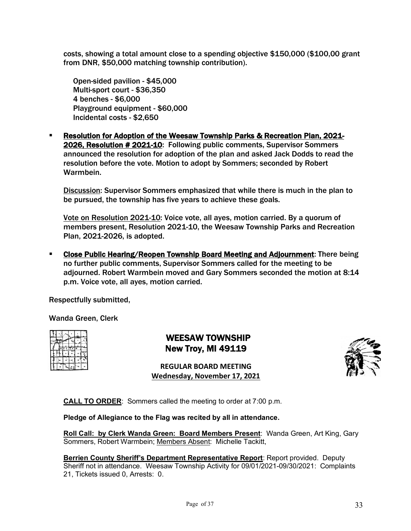costs, showing a total amount close to a spending objective \$150,000 (\$100,00 grant from DNR, \$50,000 matching township contribution).

Open-sided pavilion - \$45,000 Multi-sport court - \$36,350 4 benches - \$6,000 Playground equipment - \$60,000 Incidental costs - \$2,650

§ Resolution for Adoption of the Weesaw Township Parks & Recreation Plan, 2021- 2026, Resolution # 2021-10: Following public comments, Supervisor Sommers announced the resolution for adoption of the plan and asked Jack Dodds to read the resolution before the vote. Motion to adopt by Sommers; seconded by Robert Warmbein.

Discussion: Supervisor Sommers emphasized that while there is much in the plan to be pursued, the township has five years to achieve these goals.

Vote on Resolution 2021-10: Voice vote, all ayes, motion carried. By a quorum of members present, Resolution 2021-10, the Weesaw Township Parks and Recreation Plan, 2021-2026, is adopted.

§ Close Public Hearing/Reopen Township Board Meeting and Adjournment: There being no further public comments, Supervisor Sommers called for the meeting to be adjourned. Robert Warmbein moved and Gary Sommers seconded the motion at 8:14 p.m. Voice vote, all ayes, motion carried.

Respectfully submitted,

Wanda Green, Clerk

|  |  |   | ÷ |
|--|--|---|---|
|  |  | м |   |
|  |  |   |   |

 WEESAW TOWNSHIP New Troy, MI 49119

**REGULAR BOARD MEETING Wednesday, November 17, 2021**



**CALL TO ORDER**: Sommers called the meeting to order at 7:00 p.m.

**Pledge of Allegiance to the Flag was recited by all in attendance.**

**Roll Call: by Clerk Wanda Green: Board Members Present**: Wanda Green, Art King, Gary Sommers, Robert Warmbein; Members Absent: Michelle Tackitt,

**Berrien County Sheriff's Department Representative Report**: Report provided. Deputy Sheriff not in attendance. Weesaw Township Activity for 09/01/2021-09/30/2021: Complaints 21, Tickets issued 0, Arrests: 0.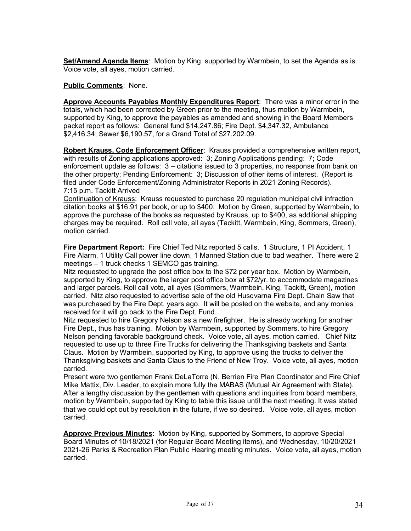**Set/Amend Agenda Items**: Motion by King, supported by Warmbein, to set the Agenda as is. Voice vote, all ayes, motion carried.

#### **Public Comments**: None.

**Approve Accounts Payables Monthly Expenditures Report**: There was a minor error in the totals, which had been corrected by Green prior to the meeting, thus motion by Warmbein, supported by King, to approve the payables as amended and showing in the Board Members packet report as follows: General fund \$14,247.86; Fire Dept. \$4,347.32, Ambulance \$2,416.34; Sewer \$6,190.57, for a Grand Total of \$27,202.09.

**Robert Krauss, Code Enforcement Officer**: Krauss provided a comprehensive written report, with results of Zoning applications approved: 3; Zoning Applications pending: 7; Code enforcement update as follows: 3 – citations issued to 3 properties, no response from bank on the other property; Pending Enforcement: 3; Discussion of other items of interest. (Report is filed under Code Enforcement/Zoning Administrator Reports in 2021 Zoning Records). 7:15 p.m. Tackitt Arrived

Continuation of Krauss: Krauss requested to purchase 20 regulation municipal civil infraction citation books at \$16.91 per book, or up to \$400. Motion by Green, supported by Warmbein, to approve the purchase of the books as requested by Krauss, up to \$400, as additional shipping charges may be required. Roll call vote, all ayes (Tackitt, Warmbein, King, Sommers, Green), motion carried.

**Fire Department Report:** Fire Chief Ted Nitz reported 5 calls. 1 Structure, 1 PI Accident, 1 Fire Alarm, 1 Utility Call power line down, 1 Manned Station due to bad weather. There were 2 meetings – 1 truck checks 1 SEMCO gas training.

Nitz requested to upgrade the post office box to the \$72 per year box. Motion by Warmbein, supported by King, to approve the larger post office box at \$72/yr. to accommodate magazines and larger parcels. Roll call vote, all ayes (Sommers, Warmbein, King, Tackitt, Green), motion carried. Nitz also requested to advertise sale of the old Husqvarna Fire Dept. Chain Saw that was purchased by the Fire Dept. years ago. It will be posted on the website, and any monies received for it will go back to the Fire Dept. Fund.

Nitz requested to hire Gregory Nelson as a new firefighter. He is already working for another Fire Dept., thus has training. Motion by Warmbein, supported by Sommers, to hire Gregory Nelson pending favorable background check. Voice vote, all ayes, motion carried. Chief Nitz requested to use up to three Fire Trucks for delivering the Thanksgiving baskets and Santa Claus. Motion by Warmbein, supported by King, to approve using the trucks to deliver the Thanksgiving baskets and Santa Claus to the Friend of New Troy. Voice vote, all ayes, motion carried.

Present were two gentlemen Frank DeLaTorre (N. Berrien Fire Plan Coordinator and Fire Chief Mike Mattix, Div. Leader, to explain more fully the MABAS (Mutual Air Agreement with State). After a lengthy discussion by the gentlemen with questions and inquiries from board members, motion by Warmbein, supported by King to table this issue until the next meeting. It was stated that we could opt out by resolution in the future, if we so desired. Voice vote, all ayes, motion carried.

**Approve Previous Minutes**: Motion by King, supported by Sommers, to approve Special Board Minutes of 10/18/2021 (for Regular Board Meeting items), and Wednesday, 10/20/2021 2021-26 Parks & Recreation Plan Public Hearing meeting minutes. Voice vote, all ayes, motion carried.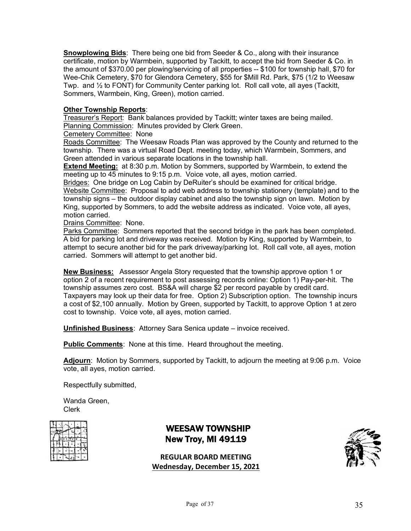**Snowplowing Bids**: There being one bid from Seeder & Co., along with their insurance certificate, motion by Warmbein, supported by Tackitt, to accept the bid from Seeder & Co. in the amount of \$370.00 per plowing/servicing of all properties -- \$100 for township hall, \$70 for Wee-Chik Cemetery, \$70 for Glendora Cemetery, \$55 for \$Mill Rd. Park, \$75 (1/2 to Weesaw Twp. and ½ to FONT) for Community Center parking lot. Roll call vote, all ayes (Tackitt, Sommers, Warmbein, King, Green), motion carried.

#### **Other Township Reports**:

Treasurer's Report: Bank balances provided by Tackitt; winter taxes are being mailed. Planning Commission: Minutes provided by Clerk Green.

Cemetery Committee: None

Roads Committee: The Weesaw Roads Plan was approved by the County and returned to the township. There was a virtual Road Dept. meeting today, which Warmbein, Sommers, and Green attended in various separate locations in the township hall.

**Extend Meeting:** at 8:30 p.m. Motion by Sommers, supported by Warmbein, to extend the meeting up to 45 minutes to 9:15 p.m. Voice vote, all ayes, motion carried.

Bridges: One bridge on Log Cabin by DeRuiter's should be examined for critical bridge. Website Committee: Proposal to add web address to township stationery (template) and to the township signs – the outdoor display cabinet and also the township sign on lawn. Motion by King, supported by Sommers, to add the website address as indicated. Voice vote, all ayes, motion carried.

Drains Committee: None.

Parks Committee: Sommers reported that the second bridge in the park has been completed. A bid for parking lot and driveway was received. Motion by King, supported by Warmbein, to attempt to secure another bid for the park driveway/parking lot. Roll call vote, all ayes, motion carried. Sommers will attempt to get another bid.

**New Business:** Assessor Angela Story requested that the township approve option 1 or option 2 of a recent requirement to post assessing records online: Option 1) Pay-per-hit. The township assumes zero cost. BS&A will charge \$2 per record payable by credit card. Taxpayers may look up their data for free. Option 2) Subscription option. The township incurs a cost of \$2,100 annually. Motion by Green, supported by Tackitt, to approve Option 1 at zero cost to township. Voice vote, all ayes, motion carried.

**Unfinished Business**: Attorney Sara Senica update – invoice received.

**Public Comments**: None at this time. Heard throughout the meeting.

**Adjourn**: Motion by Sommers, supported by Tackitt, to adjourn the meeting at 9:06 p.m. Voice vote, all ayes, motion carried.

Respectfully submitted,

Wanda Green, Clerk

| ٥ | ٦ |   |
|---|---|---|
|   |   | ő |
|   |   |   |
|   |   |   |

# WEESAW TOWNSHIP New Troy, MI 49119

**REGULAR BOARD MEETING Wednesday, December 15, 2021**

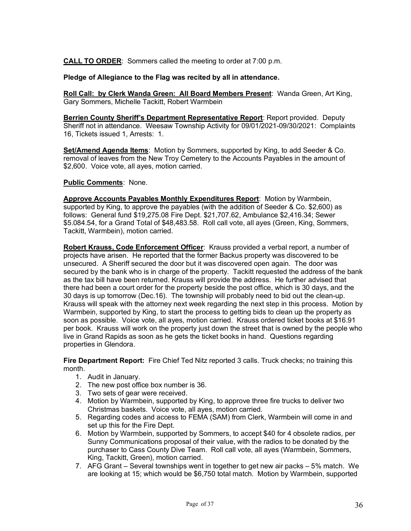**CALL TO ORDER**: Sommers called the meeting to order at 7:00 p.m.

**Pledge of Allegiance to the Flag was recited by all in attendance.**

**Roll Call: by Clerk Wanda Green: All Board Members Present**: Wanda Green, Art King, Gary Sommers, Michelle Tackitt, Robert Warmbein

**Berrien County Sheriff's Department Representative Report**: Report provided. Deputy Sheriff not in attendance. Weesaw Township Activity for 09/01/2021-09/30/2021: Complaints 16, Tickets issued 1, Arrests: 1.

**Set/Amend Agenda Items**: Motion by Sommers, supported by King, to add Seeder & Co. removal of leaves from the New Troy Cemetery to the Accounts Payables in the amount of \$2,600. Voice vote, all ayes, motion carried.

#### **Public Comments**: None.

**Approve Accounts Payables Monthly Expenditures Report**: Motion by Warmbein, supported by King, to approve the payables (with the addition of Seeder & Co. \$2,600) as follows: General fund \$19,275.08 Fire Dept. \$21,707.62, Ambulance \$2,416.34; Sewer \$5.084.54, for a Grand Total of \$48,483.58. Roll call vote, all ayes (Green, King, Sommers, Tackitt, Warmbein), motion carried.

**Robert Krauss, Code Enforcement Officer**: Krauss provided a verbal report, a number of projects have arisen. He reported that the former Backus property was discovered to be unsecured. A Sheriff secured the door but it was discovered open again. The door was secured by the bank who is in charge of the property. Tackitt requested the address of the bank as the tax bill have been returned. Krauss will provide the address. He further advised that there had been a court order for the property beside the post office, which is 30 days, and the 30 days is up tomorrow (Dec.16). The township will probably need to bid out the clean-up. Krauss will speak with the attorney next week regarding the next step in this process. Motion by Warmbein, supported by King, to start the process to getting bids to clean up the property as soon as possible. Voice vote, all ayes, motion carried. Krauss ordered ticket books at \$16.91 per book. Krauss will work on the property just down the street that is owned by the people who live in Grand Rapids as soon as he gets the ticket books in hand. Questions regarding properties in Glendora.

**Fire Department Report:** Fire Chief Ted Nitz reported 3 calls. Truck checks; no training this month.

- 1. Audit in January.
- 2. The new post office box number is 36.
- 3. Two sets of gear were received.
- 4. Motion by Warmbein, supported by King, to approve three fire trucks to deliver two Christmas baskets. Voice vote, all ayes, motion carried.
- 5. Regarding codes and access to FEMA (SAM) from Clerk, Warmbein will come in and set up this for the Fire Dept.
- 6. Motion by Warmbein, supported by Sommers, to accept \$40 for 4 obsolete radios, per Sunny Communications proposal of their value, with the radios to be donated by the purchaser to Cass County Dive Team. Roll call vote, all ayes (Warmbein, Sommers, King, Tackitt, Green), motion carried.
- 7. AFG Grant Several townships went in together to get new air packs 5% match. We are looking at 15; which would be \$6,750 total match. Motion by Warmbein, supported